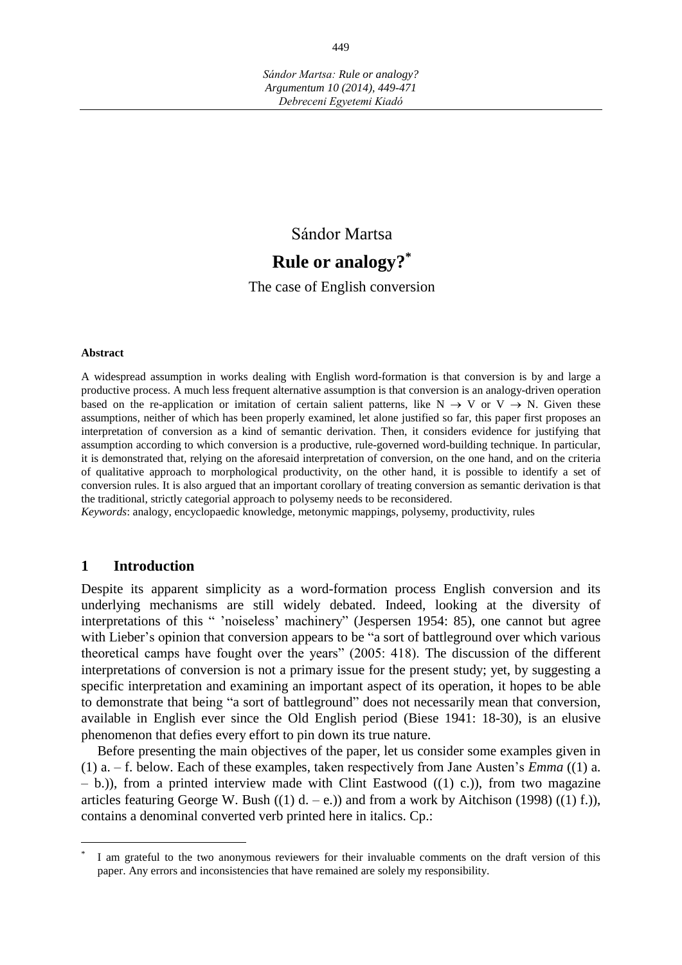# Sándor Martsa **Rule or analogy? \***

#### The case of English conversion

#### **Abstract**

A widespread assumption in works dealing with English word-formation is that conversion is by and large a productive process. A much less frequent alternative assumption is that conversion is an analogy-driven operation based on the re-application or imitation of certain salient patterns, like  $N \rightarrow V$  or  $V \rightarrow N$ . Given these assumptions, neither of which has been properly examined, let alone justified so far, this paper first proposes an interpretation of conversion as a kind of semantic derivation. Then, it considers evidence for justifying that assumption according to which conversion is a productive, rule-governed word-building technique. In particular, it is demonstrated that, relying on the aforesaid interpretation of conversion, on the one hand, and on the criteria of qualitative approach to morphological productivity, on the other hand, it is possible to identify a set of conversion rules. It is also argued that an important corollary of treating conversion as semantic derivation is that the traditional, strictly categorial approach to polysemy needs to be reconsidered.

*Keywords*: analogy, encyclopaedic knowledge, metonymic mappings, polysemy, productivity, rules

#### **1 Introduction**

 $\overline{a}$ 

Despite its apparent simplicity as a word-formation process English conversion and its underlying mechanisms are still widely debated. Indeed, looking at the diversity of interpretations of this " 'noiseless' machinery" (Jespersen 1954: 85), one cannot but agree with Lieber's opinion that conversion appears to be "a sort of battleground over which various theoretical camps have fought over the years" (2005: 418). The discussion of the different interpretations of conversion is not a primary issue for the present study; yet, by suggesting a specific interpretation and examining an important aspect of its operation, it hopes to be able to demonstrate that being "a sort of battleground" does not necessarily mean that conversion, available in English ever since the Old English period (Biese 1941: 18-30), is an elusive phenomenon that defies every effort to pin down its true nature.

Before presenting the main objectives of the paper, let us consider some examples given in (1) a. – f. below. Each of these examples, taken respectively from Jane Austen's *Emma* ((1) a.  $-$  b.)), from a printed interview made with Clint Eastwood  $((1)$  c.)), from two magazine articles featuring George W. Bush  $((1)$  d.  $- e$ .)) and from a work by Aitchison (1998)  $((1)$  f.)), contains a denominal converted verb printed here in italics. Cp.:

<sup>\*</sup> I am grateful to the two anonymous reviewers for their invaluable comments on the draft version of this paper. Any errors and inconsistencies that have remained are solely my responsibility.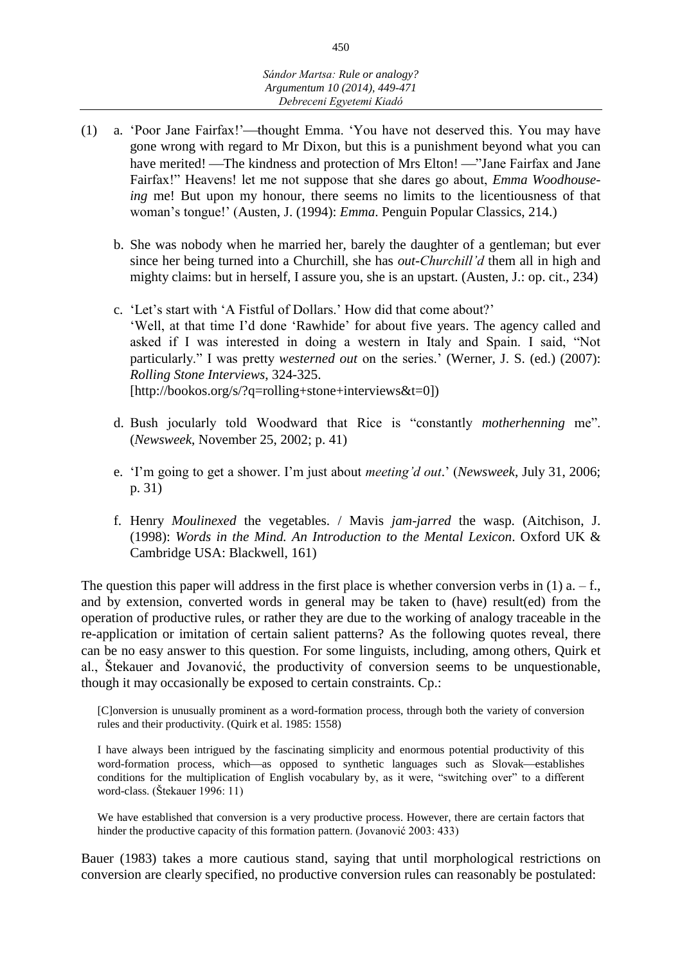- (1) a. 'Poor Jane Fairfax!'—thought Emma. 'You have not deserved this. You may have gone wrong with regard to Mr Dixon, but this is a punishment beyond what you can have merited! —The kindness and protection of Mrs Elton! —"Jane Fairfax and Jane Fairfax!" Heavens! let me not suppose that she dares go about, *Emma Woodhouseing* me! But upon my honour, there seems no limits to the licentiousness of that woman's tongue!' (Austen, J. (1994): *Emma*. Penguin Popular Classics, 214.)
	- b. She was nobody when he married her, barely the daughter of a gentleman; but ever since her being turned into a Churchill, she has *out-Churchill'd* them all in high and mighty claims: but in herself, I assure you, she is an upstart. (Austen, J.: op. cit., 234)
	- c. 'Let's start with 'A Fistful of Dollars.' How did that come about?' 'Well, at that time I'd done 'Rawhide' for about five years. The agency called and asked if I was interested in doing a western in Italy and Spain. I said, "Not particularly." I was pretty *westerned out* on the series.' (Werner, J. S. (ed.) (2007): *Rolling Stone Interviews*, 324-325. [http://bookos.org/s/?q=rolling+stone+interviews&t=0])
	- d. Bush jocularly told Woodward that Rice is "constantly *motherhenning* me". (*Newsweek*, November 25, 2002; p. 41)
	- e. 'I'm going to get a shower. I'm just about *meeting'd out*.' (*Newsweek*, July 31, 2006; p. 31)
	- f. Henry *Moulinexed* the vegetables. / Mavis *jam-jarred* the wasp. (Aitchison, J. (1998): *Words in the Mind. An Introduction to the Mental Lexicon*. Oxford UK & Cambridge USA: Blackwell, 161)

The question this paper will address in the first place is whether conversion verbs in  $(1)$  a.  $-$  f., and by extension, converted words in general may be taken to (have) result(ed) from the operation of productive rules, or rather they are due to the working of analogy traceable in the re-application or imitation of certain salient patterns? As the following quotes reveal, there can be no easy answer to this question. For some linguists, including, among others, Quirk et al., Štekauer and Jovanović, the productivity of conversion seems to be unquestionable, though it may occasionally be exposed to certain constraints. Cp.:

[C]onversion is unusually prominent as a word-formation process, through both the variety of conversion rules and their productivity. (Quirk et al. 1985: 1558)

I have always been intrigued by the fascinating simplicity and enormous potential productivity of this word-formation process, which—as opposed to synthetic languages such as Slovak—establishes conditions for the multiplication of English vocabulary by, as it were, "switching over" to a different word-class. (Štekauer 1996: 11)

We have established that conversion is a very productive process. However, there are certain factors that hinder the productive capacity of this formation pattern. (Jovanović 2003: 433)

Bauer (1983) takes a more cautious stand, saying that until morphological restrictions on conversion are clearly specified, no productive conversion rules can reasonably be postulated: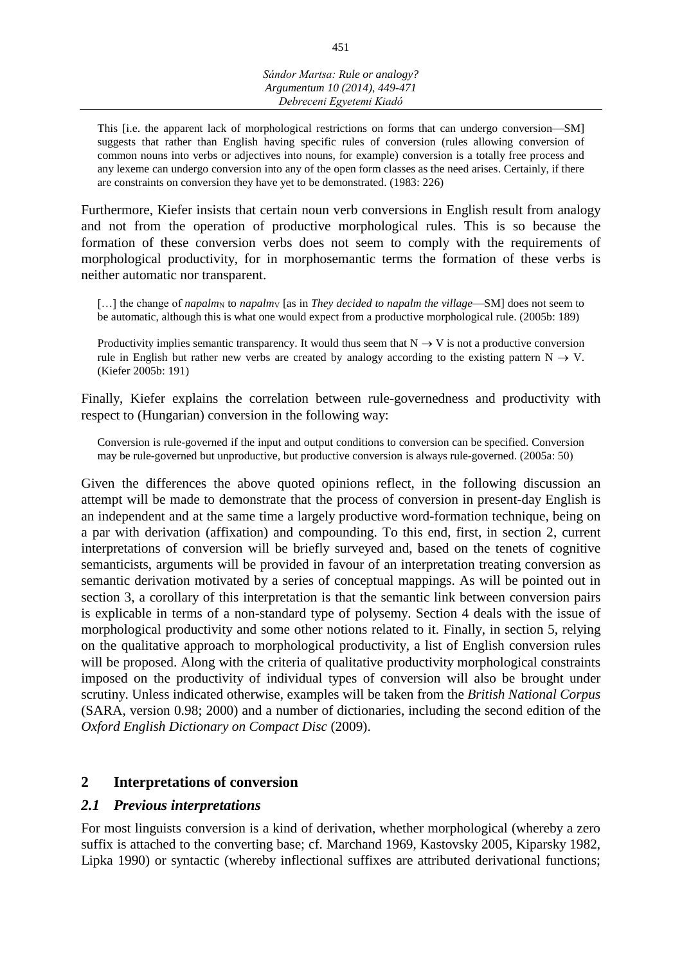This [i.e. the apparent lack of morphological restrictions on forms that can undergo conversion—SM] suggests that rather than English having specific rules of conversion (rules allowing conversion of common nouns into verbs or adjectives into nouns, for example) conversion is a totally free process and any lexeme can undergo conversion into any of the open form classes as the need arises. Certainly, if there are constraints on conversion they have yet to be demonstrated. (1983: 226)

Furthermore, Kiefer insists that certain noun verb conversions in English result from analogy and not from the operation of productive morphological rules. This is so because the formation of these conversion verbs does not seem to comply with the requirements of morphological productivity, for in morphosemantic terms the formation of these verbs is neither automatic nor transparent.

 $[\dots]$  the change of *napalm*<sub>N</sub> to *napalm*<sub>V</sub> [as in *They decided to napalm the village*—SM] does not seem to be automatic, although this is what one would expect from a productive morphological rule. (2005b: 189)

Productivity implies semantic transparency. It would thus seem that  $N \rightarrow V$  is not a productive conversion rule in English but rather new verbs are created by analogy according to the existing pattern  $N \to V$ . (Kiefer 2005b: 191)

Finally, Kiefer explains the correlation between rule-governedness and productivity with respect to (Hungarian) conversion in the following way:

Conversion is rule-governed if the input and output conditions to conversion can be specified. Conversion may be rule-governed but unproductive, but productive conversion is always rule-governed. (2005a: 50)

Given the differences the above quoted opinions reflect, in the following discussion an attempt will be made to demonstrate that the process of conversion in present-day English is an independent and at the same time a largely productive word-formation technique, being on a par with derivation (affixation) and compounding. To this end, first, in section 2, current interpretations of conversion will be briefly surveyed and, based on the tenets of cognitive semanticists, arguments will be provided in favour of an interpretation treating conversion as semantic derivation motivated by a series of conceptual mappings. As will be pointed out in section 3, a corollary of this interpretation is that the semantic link between conversion pairs is explicable in terms of a non-standard type of polysemy. Section 4 deals with the issue of morphological productivity and some other notions related to it. Finally, in section 5, relying on the qualitative approach to morphological productivity, a list of English conversion rules will be proposed. Along with the criteria of qualitative productivity morphological constraints imposed on the productivity of individual types of conversion will also be brought under scrutiny. Unless indicated otherwise, examples will be taken from the *British National Corpus* (SARA, version 0.98; 2000) and a number of dictionaries, including the second edition of the *Oxford English Dictionary on Compact Disc* (2009).

## **2 Interpretations of conversion**

## *2.1 Previous interpretations*

For most linguists conversion is a kind of derivation, whether morphological (whereby a zero suffix is attached to the converting base; cf. Marchand 1969, Kastovsky 2005, Kiparsky 1982, Lipka 1990) or syntactic (whereby inflectional suffixes are attributed derivational functions;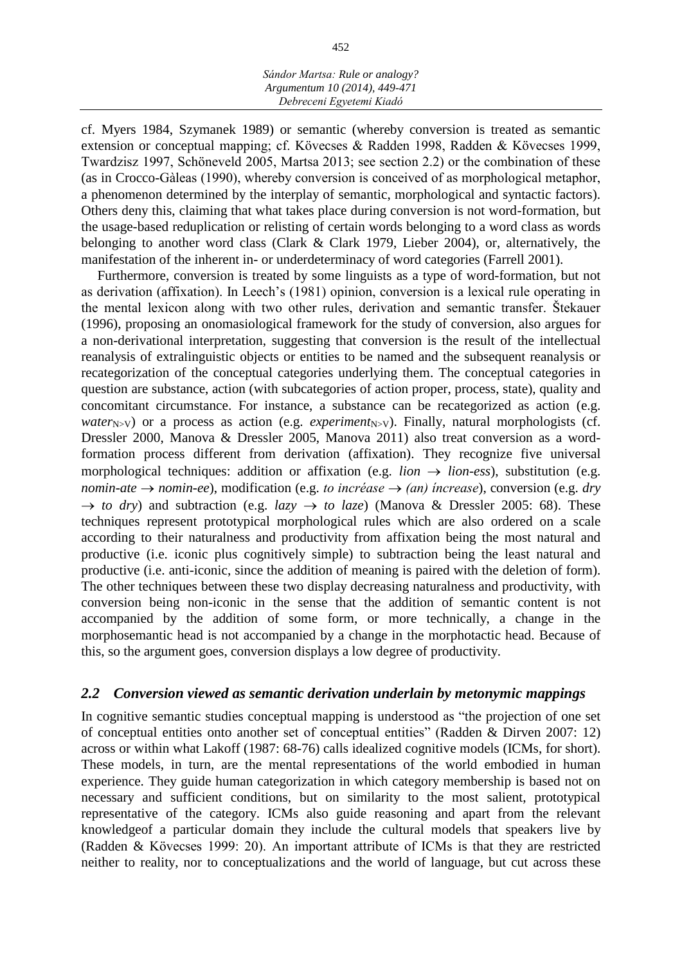cf. Myers 1984, Szymanek 1989) or semantic (whereby conversion is treated as semantic extension or conceptual mapping; cf. Kövecses & Radden 1998, Radden & Kövecses 1999, Twardzisz 1997, Schöneveld 2005, Martsa 2013; see section 2.2) or the combination of these (as in Crocco-Gàleas (1990), whereby conversion is conceived of as morphological metaphor, a phenomenon determined by the interplay of semantic, morphological and syntactic factors). Others deny this, claiming that what takes place during conversion is not word-formation, but the usage-based reduplication or relisting of certain words belonging to a word class as words belonging to another word class (Clark & Clark 1979, Lieber 2004), or, alternatively, the manifestation of the inherent in- or underdeterminacy of word categories (Farrell 2001).

Furthermore, conversion is treated by some linguists as a type of word-formation, but not as derivation (affixation). In Leech's (1981) opinion, conversion is a lexical rule operating in the mental lexicon along with two other rules, derivation and semantic transfer. Štekauer (1996), proposing an onomasiological framework for the study of conversion, also argues for a non-derivational interpretation, suggesting that conversion is the result of the intellectual reanalysis of extralinguistic objects or entities to be named and the subsequent reanalysis or recategorization of the conceptual categories underlying them. The conceptual categories in question are substance, action (with subcategories of action proper, process, state), quality and concomitant circumstance. For instance, a substance can be recategorized as action (e.g. *water*<sub>N>V</sub>) or a process as action (e.g. *experiment*<sub>N>V</sub>). Finally, natural morphologists (cf. Dressler 2000, Manova & Dressler 2005, Manova 2011) also treat conversion as a wordformation process different from derivation (affixation). They recognize five universal morphological techniques: addition or affixation (e.g. *lion*  $\rightarrow$  *lion-ess*), substitution (e.g. *nomin-ate*  $\rightarrow$  *nomin-ee*), modification (e.g. *to incréase*  $\rightarrow$  *(an) increase*), conversion (e.g. *dry*  $\rightarrow$  *to dry*) and subtraction (e.g. *lazy*  $\rightarrow$  *to laze*) (Manova & Dressler 2005: 68). These techniques represent prototypical morphological rules which are also ordered on a scale according to their naturalness and productivity from affixation being the most natural and productive (i.e. iconic plus cognitively simple) to subtraction being the least natural and productive (i.e. anti-iconic, since the addition of meaning is paired with the deletion of form). The other techniques between these two display decreasing naturalness and productivity, with conversion being non-iconic in the sense that the addition of semantic content is not accompanied by the addition of some form, or more technically, a change in the morphosemantic head is not accompanied by a change in the morphotactic head. Because of this, so the argument goes, conversion displays a low degree of productivity.

#### *2.2 Conversion viewed as semantic derivation underlain by metonymic mappings*

In cognitive semantic studies conceptual mapping is understood as "the projection of one set of conceptual entities onto another set of conceptual entities" (Radden & Dirven 2007: 12) across or within what Lakoff (1987: 68-76) calls idealized cognitive models (ICMs, for short). These models, in turn, are the mental representations of the world embodied in human experience. They guide human categorization in which category membership is based not on necessary and sufficient conditions, but on similarity to the most salient, prototypical representative of the category. ICMs also guide reasoning and apart from the relevant knowledgeof a particular domain they include the cultural models that speakers live by (Radden & Kövecses 1999: 20). An important attribute of ICMs is that they are restricted neither to reality, nor to conceptualizations and the world of language, but cut across these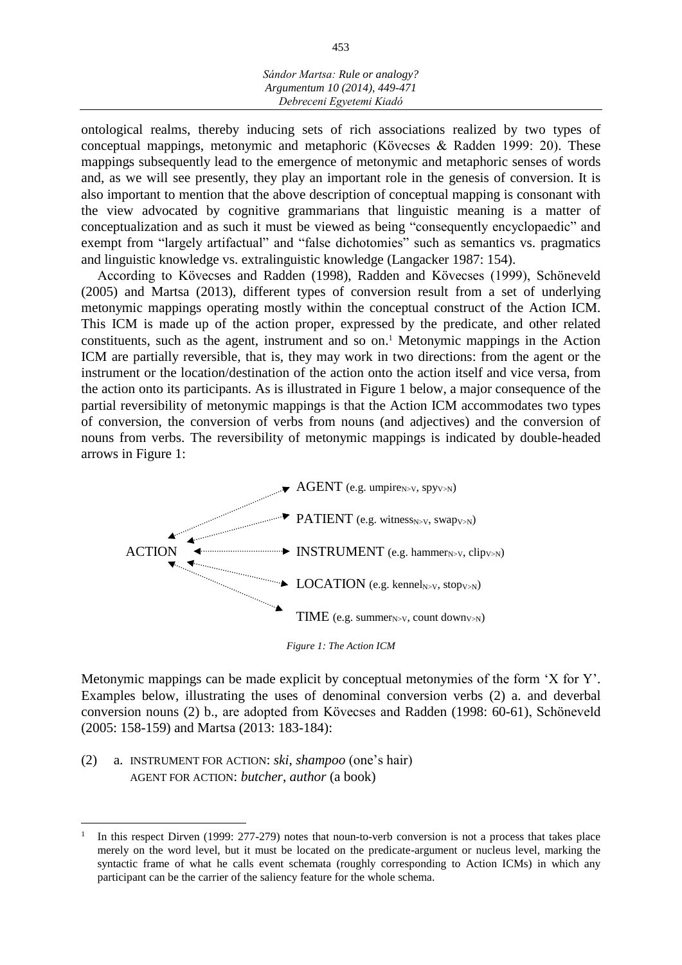*Sándor Martsa: Rule or analogy? Argumentum 10 (2014), 449-471 Debreceni Egyetemi Kiadó*

ontological realms, thereby inducing sets of rich associations realized by two types of conceptual mappings, metonymic and metaphoric (Kövecses & Radden 1999: 20). These mappings subsequently lead to the emergence of metonymic and metaphoric senses of words and, as we will see presently, they play an important role in the genesis of conversion. It is also important to mention that the above description of conceptual mapping is consonant with the view advocated by cognitive grammarians that linguistic meaning is a matter of conceptualization and as such it must be viewed as being "consequently encyclopaedic" and exempt from "largely artifactual" and "false dichotomies" such as semantics vs. pragmatics and linguistic knowledge vs. extralinguistic knowledge (Langacker 1987: 154).

According to Kövecses and Radden (1998), Radden and Kövecses (1999), Schöneveld (2005) and Martsa (2013), different types of conversion result from a set of underlying metonymic mappings operating mostly within the conceptual construct of the Action ICM. This ICM is made up of the action proper, expressed by the predicate, and other related constituents, such as the agent, instrument and so on. <sup>1</sup> Metonymic mappings in the Action ICM are partially reversible, that is, they may work in two directions: from the agent or the instrument or the location/destination of the action onto the action itself and vice versa, from the action onto its participants. As is illustrated in Figure 1 below, a major consequence of the partial reversibility of metonymic mappings is that the Action ICM accommodates two types of conversion, the conversion of verbs from nouns (and adjectives) and the conversion of nouns from verbs. The reversibility of metonymic mappings is indicated by double-headed arrows in Figure 1:



Metonymic mappings can be made explicit by conceptual metonymies of the form 'X for Y'. Examples below, illustrating the uses of denominal conversion verbs (2) a. and deverbal conversion nouns (2) b., are adopted from Kövecses and Radden (1998: 60-61), Schöneveld (2005: 158-159) and Martsa (2013: 183-184):

#### (2) a. INSTRUMENT FOR ACTION: *ski*, *shampoo* (one's hair) AGENT FOR ACTION: *butcher*, *author* (a book)

<sup>1</sup> In this respect Dirven (1999: 277-279) notes that noun-to-verb conversion is not a process that takes place merely on the word level, but it must be located on the predicate-argument or nucleus level, marking the syntactic frame of what he calls event schemata (roughly corresponding to Action ICMs) in which any participant can be the carrier of the saliency feature for the whole schema.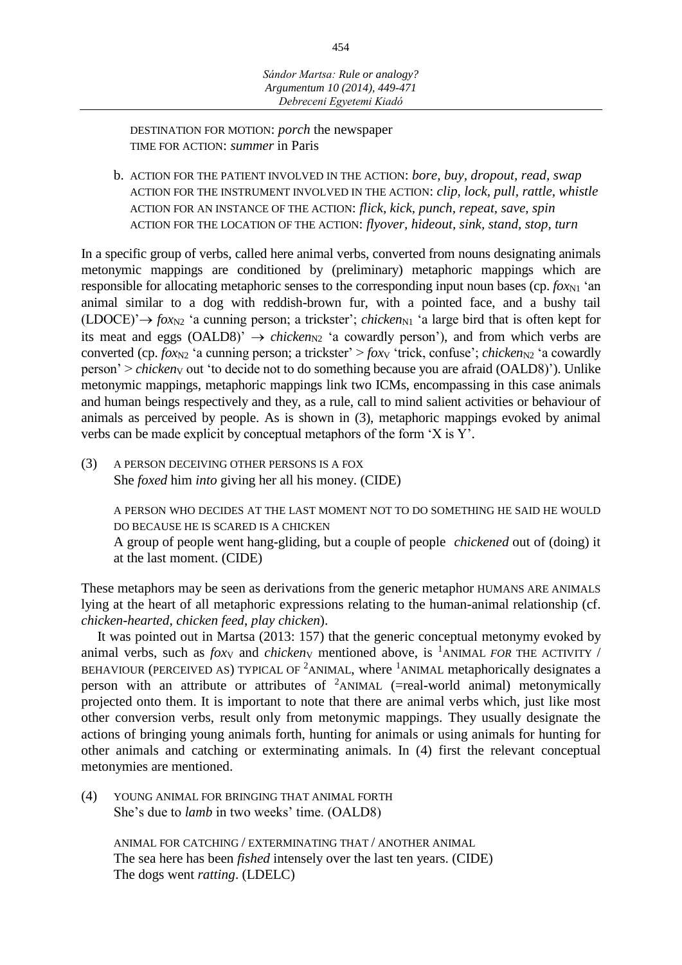DESTINATION FOR MOTION: *porch* the newspaper TIME FOR ACTION: *summer* in Paris

b. ACTION FOR THE PATIENT INVOLVED IN THE ACTION: *bore, buy, dropout, read, swap* ACTION FOR THE INSTRUMENT INVOLVED IN THE ACTION: *clip, lock, pull, rattle, whistle* ACTION FOR AN INSTANCE OF THE ACTION: *flick, kick, punch, repeat, save, spin* ACTION FOR THE LOCATION OF THE ACTION: *flyover, hideout, sink, stand, stop, turn*

In a specific group of verbs, called here animal verbs, converted from nouns designating animals metonymic mappings are conditioned by (preliminary) metaphoric mappings which are responsible for allocating metaphoric senses to the corresponding input noun bases (cp.  $f(x_{N1})$  'an animal similar to a dog with reddish-brown fur, with a pointed face, and a bushy tail  $(LDOCE) \rightarrow f\alpha_{N2}$  'a cunning person; a trickster'; *chicken*<sub>N1</sub> 'a large bird that is often kept for its meat and eggs (OALD8)'  $\rightarrow$  *chicken*<sub>N2</sub> 'a cowardly person'), and from which verbs are converted (cp. *fox*<sub>N2</sub> 'a cunning person; a trickster' > *foxy* 'trick, confuse'; *chicken*<sub>N2</sub> 'a cowardly person' > *chicken*<sub>V</sub> out 'to decide not to do something because you are afraid (OALD8)'). Unlike metonymic mappings, metaphoric mappings link two ICMs, encompassing in this case animals and human beings respectively and they, as a rule, call to mind salient activities or behaviour of animals as perceived by people. As is shown in (3), metaphoric mappings evoked by animal verbs can be made explicit by conceptual metaphors of the form 'X is Y'.

(3) A PERSON DECEIVING OTHER PERSONS IS A FOX She *foxed* him *into* giving her all his money. (CIDE)

> A PERSON WHO DECIDES AT THE LAST MOMENT NOT TO DO SOMETHING HE SAID HE WOULD DO BECAUSE HE IS SCARED IS A CHICKEN

> A group of people went hang-gliding, but a couple of people *chickened* out of (doing) it at the last moment. (CIDE)

These metaphors may be seen as derivations from the generic metaphor HUMANS ARE ANIMALS lying at the heart of all metaphoric expressions relating to the human-animal relationship (cf. *chicken-hearted*, *chicken feed*, *play chicken*).

It was pointed out in Martsa (2013: 157) that the generic conceptual metonymy evoked by animal verbs, such as *foxy* and *chickeny* mentioned above, is <sup>1</sup>ANIMAL *FOR* THE ACTIVITY / BEHAVIOUR (PERCEIVED AS) TYPICAL OF <sup>2</sup>ANIMAL, where <sup>1</sup>ANIMAL metaphorically designates a person with an attribute or attributes of  $2$ ANIMAL (=real-world animal) metonymically projected onto them. It is important to note that there are animal verbs which, just like most other conversion verbs, result only from metonymic mappings. They usually designate the actions of bringing young animals forth, hunting for animals or using animals for hunting for other animals and catching or exterminating animals. In (4) first the relevant conceptual metonymies are mentioned.

(4) YOUNG ANIMAL FOR BRINGING THAT ANIMAL FORTH She's due to *lamb* in two weeks' time. (OALD8)

> ANIMAL FOR CATCHING / EXTERMINATING THAT / ANOTHER ANIMAL The sea here has been *fished* intensely over the last ten years. (CIDE) The dogs went *ratting*. (LDELC)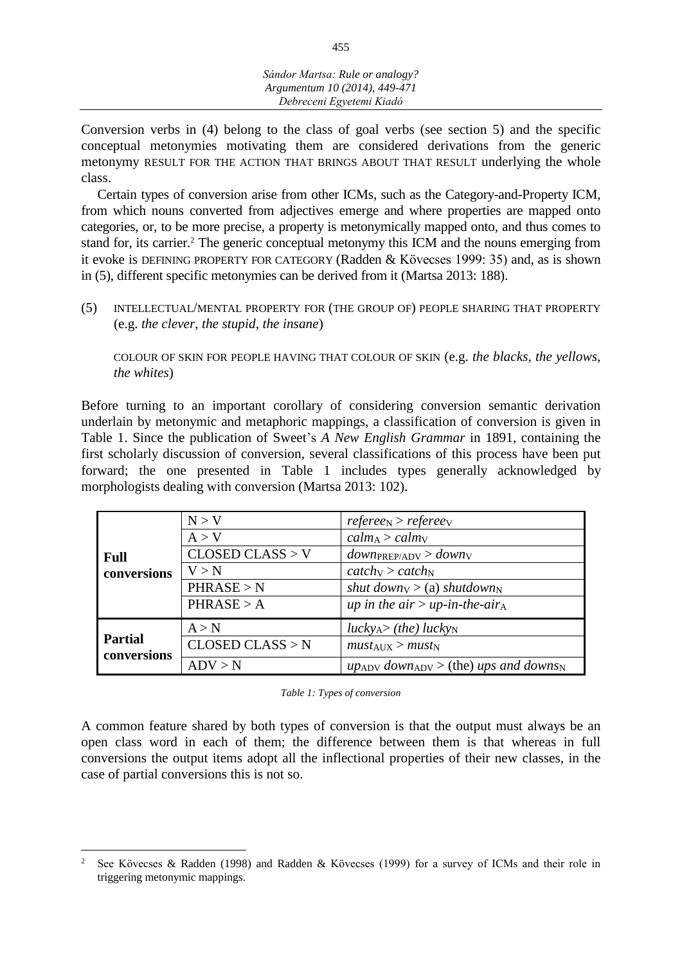Conversion verbs in (4) belong to the class of goal verbs (see section 5) and the specific conceptual metonymies motivating them are considered derivations from the generic metonymy RESULT FOR THE ACTION THAT BRINGS ABOUT THAT RESULT underlying the whole class.

Certain types of conversion arise from other ICMs, such as the Category-and-Property ICM, from which nouns converted from adjectives emerge and where properties are mapped onto categories, or, to be more precise, a property is metonymically mapped onto, and thus comes to stand for, its carrier. <sup>2</sup> The generic conceptual metonymy this ICM and the nouns emerging from it evoke is DEFINING PROPERTY FOR CATEGORY (Radden & Kövecses 1999: 35) and, as is shown in (5), different specific metonymies can be derived from it (Martsa 2013: 188).

(5) INTELLECTUAL/MENTAL PROPERTY FOR (THE GROUP OF) PEOPLE SHARING THAT PROPERTY (e.g. *the clever*, *the stupid*, *the insane*)

COLOUR OF SKIN FOR PEOPLE HAVING THAT COLOUR OF SKIN (e.g. *the blacks*, *the yellows*, *the whites*)

Before turning to an important corollary of considering conversion semantic derivation underlain by metonymic and metaphoric mappings, a classification of conversion is given in Table 1. Since the publication of Sweet's *A New English Grammar* in 1891, containing the first scholarly discussion of conversion, several classifications of this process have been put forward; the one presented in Table 1 includes types generally acknowledged by morphologists dealing with conversion (Martsa 2013: 102).

|                               | N > V            | $referenceN > referenceV$                                |
|-------------------------------|------------------|----------------------------------------------------------|
| <b>Full</b><br>conversions    | A > V            | $calm_A$ > $calm_V$                                      |
|                               | CLOSED CLASS > V | $down_{\text{PREP/ADV}} > down_{\text{V}}$               |
|                               | V > N            | catchv > catchv                                          |
|                               | PHRASE > N       | shut downy $>$ (a) shutdown <sub>N</sub>                 |
|                               | PHRASE > A       | <i>up in the air</i> > <i>up-in-the-air</i> <sup>A</sup> |
| <b>Partial</b><br>conversions | A > N            | $lucky_A > (the)~lucky_N$                                |
|                               | CLOSED CLASS > N | $must_{AUX} > must_{N}$                                  |
|                               | ADV > N          | up above $down_{\rm ADV}$ > (the) ups and downs          |

*Table 1: Types of conversion*

A common feature shared by both types of conversion is that the output must always be an open class word in each of them; the difference between them is that whereas in full conversions the output items adopt all the inflectional properties of their new classes, in the case of partial conversions this is not so.

See Kövecses & Radden (1998) and Radden & Kövecses (1999) for a survey of ICMs and their role in triggering metonymic mappings.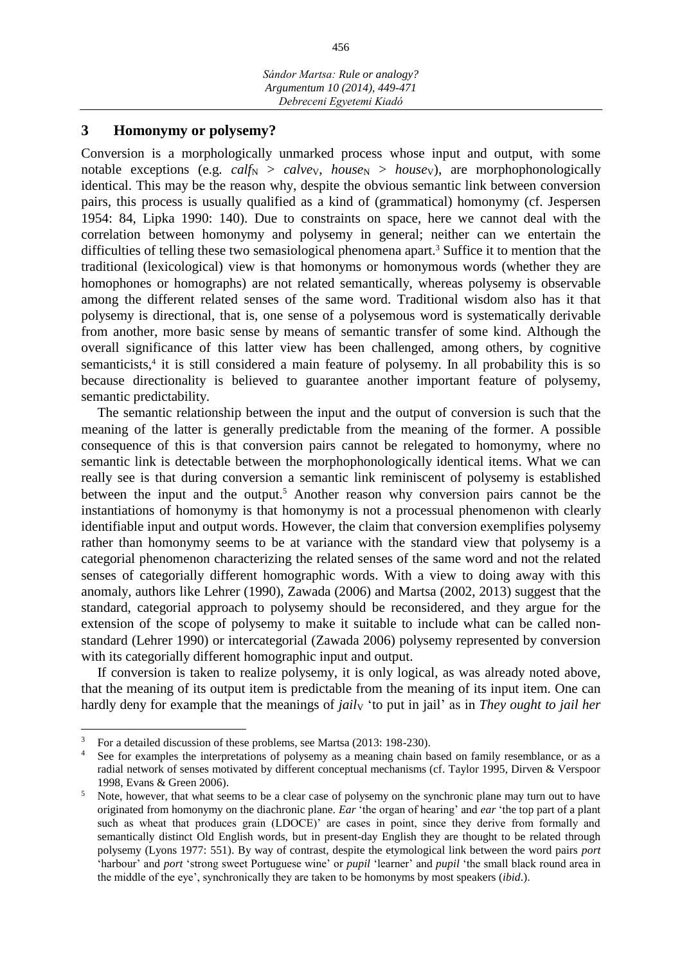#### **3 Homonymy or polysemy?**

Conversion is a morphologically unmarked process whose input and output, with some notable exceptions (e.g.  $calf_N > calvey$ , *house<sub>N</sub>* > *house<sub>N</sub>*), are morphophonologically identical. This may be the reason why, despite the obvious semantic link between conversion pairs, this process is usually qualified as a kind of (grammatical) homonymy (cf. Jespersen 1954: 84, Lipka 1990: 140). Due to constraints on space, here we cannot deal with the correlation between homonymy and polysemy in general; neither can we entertain the difficulties of telling these two semasiological phenomena apart.<sup>3</sup> Suffice it to mention that the traditional (lexicological) view is that homonyms or homonymous words (whether they are homophones or homographs) are not related semantically, whereas polysemy is observable among the different related senses of the same word. Traditional wisdom also has it that polysemy is directional, that is, one sense of a polysemous word is systematically derivable from another, more basic sense by means of semantic transfer of some kind. Although the overall significance of this latter view has been challenged, among others, by cognitive semanticists, 4 it is still considered a main feature of polysemy. In all probability this is so because directionality is believed to guarantee another important feature of polysemy, semantic predictability.

The semantic relationship between the input and the output of conversion is such that the meaning of the latter is generally predictable from the meaning of the former. A possible consequence of this is that conversion pairs cannot be relegated to homonymy, where no semantic link is detectable between the morphophonologically identical items. What we can really see is that during conversion a semantic link reminiscent of polysemy is established between the input and the output. <sup>5</sup> Another reason why conversion pairs cannot be the instantiations of homonymy is that homonymy is not a processual phenomenon with clearly identifiable input and output words. However, the claim that conversion exemplifies polysemy rather than homonymy seems to be at variance with the standard view that polysemy is a categorial phenomenon characterizing the related senses of the same word and not the related senses of categorially different homographic words. With a view to doing away with this anomaly, authors like Lehrer (1990), Zawada (2006) and Martsa (2002, 2013) suggest that the standard, categorial approach to polysemy should be reconsidered, and they argue for the extension of the scope of polysemy to make it suitable to include what can be called nonstandard (Lehrer 1990) or intercategorial (Zawada 2006) polysemy represented by conversion with its categorially different homographic input and output.

If conversion is taken to realize polysemy, it is only logical, as was already noted above, that the meaning of its output item is predictable from the meaning of its input item. One can hardly deny for example that the meanings of *jail* v 'to put in jail' as in *They ought to jail her* 

<sup>3</sup> For a detailed discussion of these problems, see Martsa (2013: 198-230).

<sup>&</sup>lt;sup>4</sup> See for examples the interpretations of polysemy as a meaning chain based on family resemblance, or as a radial network of senses motivated by different conceptual mechanisms (cf. Taylor 1995, Dirven & Verspoor 1998, Evans & Green 2006).

<sup>5</sup> Note, however, that what seems to be a clear case of polysemy on the synchronic plane may turn out to have originated from homonymy on the diachronic plane. *Ear* 'the organ of hearing' and *ear* 'the top part of a plant such as wheat that produces grain (LDOCE)' are cases in point, since they derive from formally and semantically distinct Old English words, but in present-day English they are thought to be related through polysemy (Lyons 1977: 551). By way of contrast, despite the etymological link between the word pairs *port* 'harbour' and *port* 'strong sweet Portuguese wine' or *pupil* 'learner' and *pupil* 'the small black round area in the middle of the eye', synchronically they are taken to be homonyms by most speakers (*ibid*.).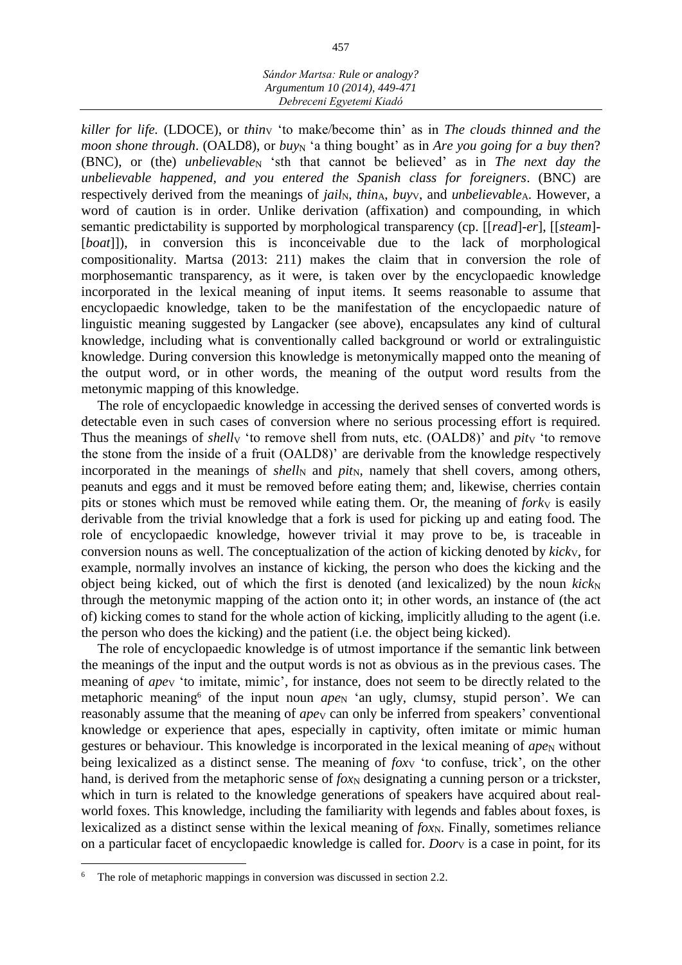*Sándor Martsa: Rule or analogy? Argumentum 10 (2014), 449-471 Debreceni Egyetemi Kiadó*

*killer for life.* (LDOCE), or *thin*<sup>v</sup> 'to make/become thin' as in *The clouds thinned and the moon shone through.* (OALD8), or *buy<sub>N</sub>* 'a thing bought' as in *Are you going for a buy then*? (BNC), or (the) *unbelievable*<sup>N</sup> 'sth that cannot be believed' as in *The next day the unbelievable happened, and you entered the Spanish class for foreigners*. (BNC) are respectively derived from the meanings of *jail<sub>N</sub>*, *thin<sub>A</sub>*, *buyy*, and *unbelievable<sub>A</sub>*. However, a word of caution is in order. Unlike derivation (affixation) and compounding, in which semantic predictability is supported by morphological transparency (cp. [[*read*]-*er*], [[*steam*]- [*boat*]]), in conversion this is inconceivable due to the lack of morphological compositionality. Martsa (2013: 211) makes the claim that in conversion the role of morphosemantic transparency, as it were, is taken over by the encyclopaedic knowledge incorporated in the lexical meaning of input items. It seems reasonable to assume that encyclopaedic knowledge, taken to be the manifestation of the encyclopaedic nature of linguistic meaning suggested by Langacker (see above), encapsulates any kind of cultural knowledge, including what is conventionally called background or world or extralinguistic knowledge. During conversion this knowledge is metonymically mapped onto the meaning of the output word, or in other words, the meaning of the output word results from the metonymic mapping of this knowledge.

The role of encyclopaedic knowledge in accessing the derived senses of converted words is detectable even in such cases of conversion where no serious processing effort is required. Thus the meanings of *shelly* 'to remove shell from nuts, etc. (OALD8)' and *pity* 'to remove the stone from the inside of a fruit (OALD8)' are derivable from the knowledge respectively incorporated in the meanings of *shell*<sub>N</sub> and  $\pi p$ *it*<sub>N</sub>, namely that shell covers, among others, peanuts and eggs and it must be removed before eating them; and, likewise, cherries contain pits or stones which must be removed while eating them. Or, the meaning of *forky* is easily derivable from the trivial knowledge that a fork is used for picking up and eating food. The role of encyclopaedic knowledge, however trivial it may prove to be, is traceable in conversion nouns as well. The conceptualization of the action of kicking denoted by *kicky*, for example, normally involves an instance of kicking, the person who does the kicking and the object being kicked, out of which the first is denoted (and lexicalized) by the noun  $kick_N$ through the metonymic mapping of the action onto it; in other words, an instance of (the act of) kicking comes to stand for the whole action of kicking, implicitly alluding to the agent (i.e. the person who does the kicking) and the patient (i.e. the object being kicked).

The role of encyclopaedic knowledge is of utmost importance if the semantic link between the meanings of the input and the output words is not as obvious as in the previous cases. The meaning of *ape*<sub>V</sub> 'to imitate, mimic', for instance, does not seem to be directly related to the metaphoric meaning<sup>6</sup> of the input noun *ape*<sub>N</sub> 'an ugly, clumsy, stupid person'. We can reasonably assume that the meaning of *ape*<sub>V</sub> can only be inferred from speakers' conventional knowledge or experience that apes, especially in captivity, often imitate or mimic human gestures or behaviour. This knowledge is incorporated in the lexical meaning of *ape*<sub>N</sub> without being lexicalized as a distinct sense. The meaning of *foxy* 'to confuse, trick', on the other hand, is derived from the metaphoric sense of *fox*<sub>N</sub> designating a cunning person or a trickster, which in turn is related to the knowledge generations of speakers have acquired about realworld foxes. This knowledge, including the familiarity with legends and fables about foxes, is lexicalized as a distinct sense within the lexical meaning of  $f\alpha_{N}$ . Finally, sometimes reliance on a particular facet of encyclopaedic knowledge is called for. *Door* is a case in point, for its

<sup>&</sup>lt;sup>6</sup> The role of metaphoric mappings in conversion was discussed in section 2.2.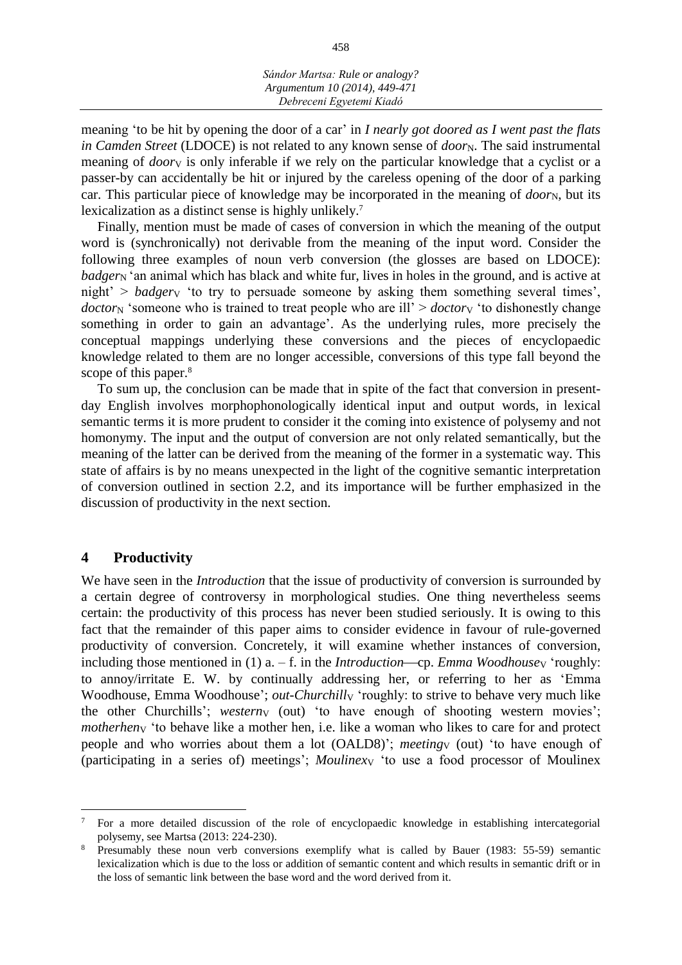

meaning 'to be hit by opening the door of a car' in *I nearly got doored as I went past the flats in Camden Street* (LDOCE) is not related to any known sense of *door*<sub>N</sub>. The said instrumental meaning of *door*<sub>V</sub> is only inferable if we rely on the particular knowledge that a cyclist or a passer-by can accidentally be hit or injured by the careless opening of the door of a parking car. This particular piece of knowledge may be incorporated in the meaning of *door*<sub>N</sub>, but its lexicalization as a distinct sense is highly unlikely.<sup>7</sup>

Finally, mention must be made of cases of conversion in which the meaning of the output word is (synchronically) not derivable from the meaning of the input word. Consider the following three examples of noun verb conversion (the glosses are based on LDOCE): *badger*<sub>N</sub> 'an animal which has black and white fur, lives in holes in the ground, and is active at night'  $>$  *badgery* 'to try to persuade someone by asking them something several times', *doctor*<sub>N</sub> 'someone who is trained to treat people who are ill' > *doctory* 'to dishonestly change something in order to gain an advantage'. As the underlying rules, more precisely the conceptual mappings underlying these conversions and the pieces of encyclopaedic knowledge related to them are no longer accessible, conversions of this type fall beyond the scope of this paper.<sup>8</sup>

To sum up, the conclusion can be made that in spite of the fact that conversion in presentday English involves morphophonologically identical input and output words, in lexical semantic terms it is more prudent to consider it the coming into existence of polysemy and not homonymy. The input and the output of conversion are not only related semantically, but the meaning of the latter can be derived from the meaning of the former in a systematic way. This state of affairs is by no means unexpected in the light of the cognitive semantic interpretation of conversion outlined in section 2.2, and its importance will be further emphasized in the discussion of productivity in the next section.

#### **4 Productivity**

 $\overline{a}$ 

We have seen in the *Introduction* that the issue of productivity of conversion is surrounded by a certain degree of controversy in morphological studies. One thing nevertheless seems certain: the productivity of this process has never been studied seriously. It is owing to this fact that the remainder of this paper aims to consider evidence in favour of rule-governed productivity of conversion. Concretely, it will examine whether instances of conversion, including those mentioned in (1)  $a - f$ . in the *Introduction*—cp. *Emma Woodhousev* 'roughly: to annoy/irritate E. W. by continually addressing her, or referring to her as 'Emma Woodhouse, Emma Woodhouse'; *out-Churchilly* 'roughly: to strive to behave very much like the other Churchills'; *westerny* (out) 'to have enough of shooting western movies'; *motherheny* 'to behave like a mother hen, i.e. like a woman who likes to care for and protect people and who worries about them a lot (OALD8)'; *meeting* v (out) 'to have enough of (participating in a series of) meetings'; *Moulinexy* 'to use a food processor of Moulinex

<sup>7</sup> For a more detailed discussion of the role of encyclopaedic knowledge in establishing intercategorial polysemy, see Martsa (2013: 224-230).

<sup>&</sup>lt;sup>8</sup> Presumably these noun verb conversions exemplify what is called by Bauer (1983: 55-59) semantic lexicalization which is due to the loss or addition of semantic content and which results in semantic drift or in the loss of semantic link between the base word and the word derived from it.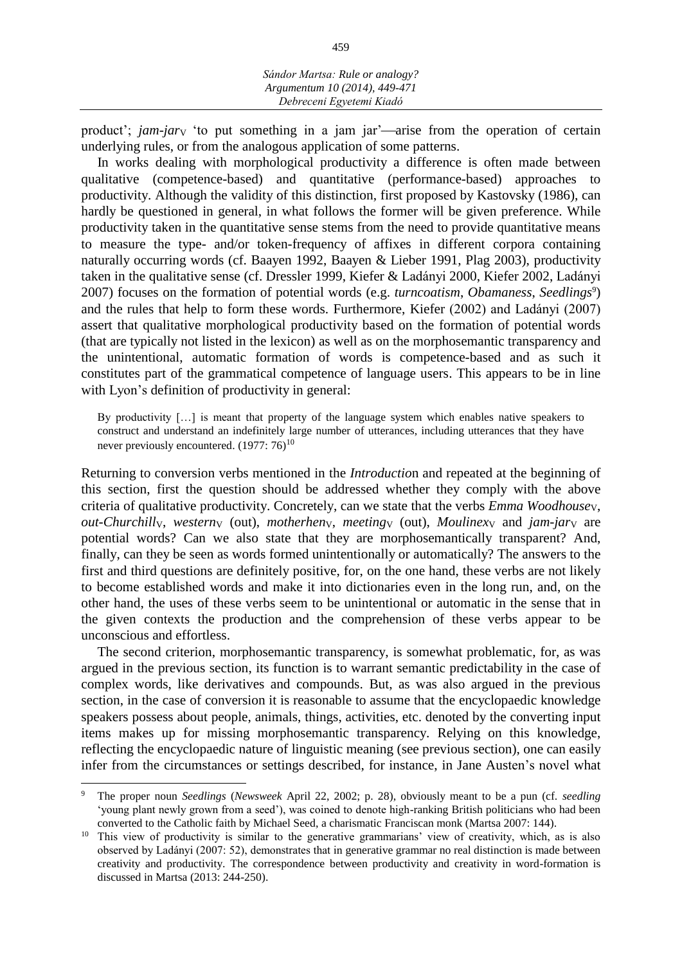product'; *jam-jary* 'to put something in a jam jar'—arise from the operation of certain underlying rules, or from the analogous application of some patterns.

In works dealing with morphological productivity a difference is often made between qualitative (competence-based) and quantitative (performance-based) approaches to productivity. Although the validity of this distinction, first proposed by Kastovsky (1986), can hardly be questioned in general, in what follows the former will be given preference. While productivity taken in the quantitative sense stems from the need to provide quantitative means to measure the type- and/or token-frequency of affixes in different corpora containing naturally occurring words (cf. Baayen 1992, Baayen & Lieber 1991, Plag 2003), productivity taken in the qualitative sense (cf. Dressler 1999, Kiefer & Ladányi 2000, Kiefer 2002, Ladányi 2007) focuses on the formation of potential words (e.g. *turncoatism*, *Obamaness*, *Seedlings<sup>9</sup>*) and the rules that help to form these words. Furthermore, Kiefer (2002) and Ladányi (2007) assert that qualitative morphological productivity based on the formation of potential words (that are typically not listed in the lexicon) as well as on the morphosemantic transparency and the unintentional, automatic formation of words is competence-based and as such it constitutes part of the grammatical competence of language users. This appears to be in line with Lyon's definition of productivity in general:

By productivity […] is meant that property of the language system which enables native speakers to construct and understand an indefinitely large number of utterances, including utterances that they have never previously encountered.  $(1977:76)^{10}$ 

Returning to conversion verbs mentioned in the *Introductio*n and repeated at the beginning of this section, first the question should be addressed whether they comply with the above criteria of qualitative productivity. Concretely, can we state that the verbs *Emma Woodhouse*V, *out-Churchilly, westerny (out), motherheny, meetingy (out), <i>Moulinexy* and *jam-jary* are potential words? Can we also state that they are morphosemantically transparent? And, finally, can they be seen as words formed unintentionally or automatically? The answers to the first and third questions are definitely positive, for, on the one hand, these verbs are not likely to become established words and make it into dictionaries even in the long run, and, on the other hand, the uses of these verbs seem to be unintentional or automatic in the sense that in the given contexts the production and the comprehension of these verbs appear to be unconscious and effortless.

The second criterion, morphosemantic transparency, is somewhat problematic, for, as was argued in the previous section, its function is to warrant semantic predictability in the case of complex words, like derivatives and compounds. But, as was also argued in the previous section, in the case of conversion it is reasonable to assume that the encyclopaedic knowledge speakers possess about people, animals, things, activities, etc. denoted by the converting input items makes up for missing morphosemantic transparency. Relying on this knowledge, reflecting the encyclopaedic nature of linguistic meaning (see previous section), one can easily infer from the circumstances or settings described, for instance, in Jane Austen's novel what

<sup>9</sup> The proper noun *Seedlings* (*Newsweek* April 22, 2002; p. 28), obviously meant to be a pun (cf. *seedling*  'young plant newly grown from a seed'), was coined to denote high-ranking British politicians who had been converted to the Catholic faith by Michael Seed, a charismatic Franciscan monk (Martsa 2007: 144).

This view of productivity is similar to the generative grammarians' view of creativity, which, as is also observed by Ladányi (2007: 52), demonstrates that in generative grammar no real distinction is made between creativity and productivity. The correspondence between productivity and creativity in word-formation is discussed in Martsa (2013: 244-250).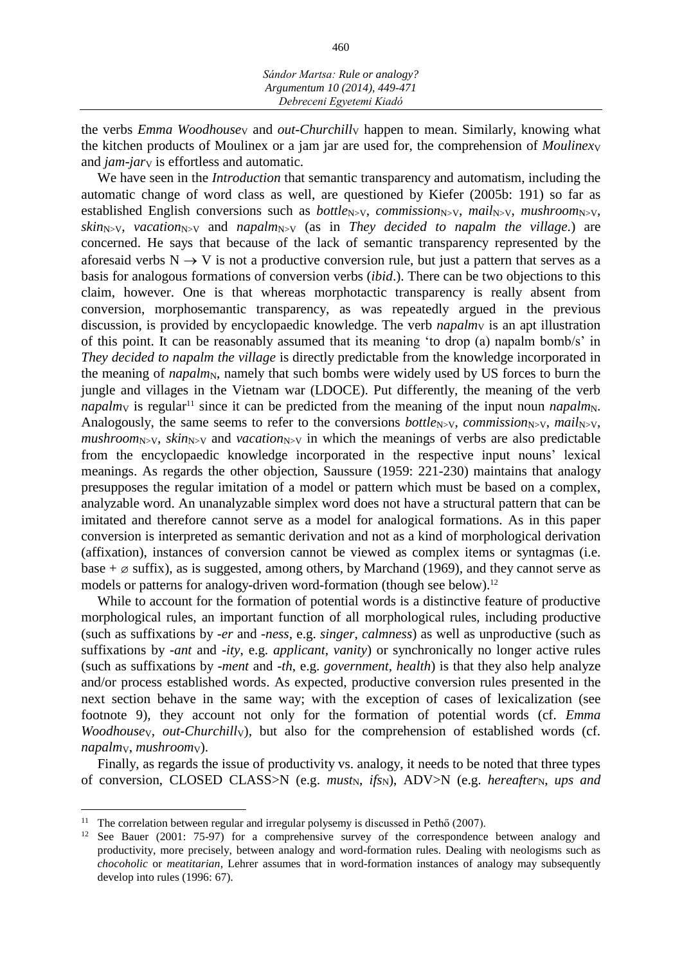*Sándor Martsa: Rule or analogy? Argumentum 10 (2014), 449-471 Debreceni Egyetemi Kiadó*

the verbs *Emma Woodhouse*<sup>V</sup> and *out-Churchill*<sup>V</sup> happen to mean. Similarly, knowing what the kitchen products of Moulinex or a jam jar are used for, the comprehension of *Moulinexy* and  $jam$ -*jar* $\vee$  is effortless and automatic.

We have seen in the *Introduction* that semantic transparency and automatism, including the automatic change of word class as well, are questioned by Kiefer (2005b: 191) so far as established English conversions such as *bottle*N>V, *commission*N>V, *mailN*>V, *mushroomN*>V,  $skin_{N>V}$ , *vacation*<sub>N>V</sub> and *napalm*<sub>N>V</sub> (as in *They decided to napalm the village.*) are concerned. He says that because of the lack of semantic transparency represented by the aforesaid verbs  $N \rightarrow V$  is not a productive conversion rule, but just a pattern that serves as a basis for analogous formations of conversion verbs (*ibid*.). There can be two objections to this claim, however. One is that whereas morphotactic transparency is really absent from conversion, morphosemantic transparency, as was repeatedly argued in the previous discussion, is provided by encyclopaedic knowledge. The verb  $napalm<sub>V</sub>$  is an apt illustration of this point. It can be reasonably assumed that its meaning 'to drop (a) napalm bomb/s' in *They decided to napalm the village* is directly predictable from the knowledge incorporated in the meaning of *napalm*<sub>N</sub>, namely that such bombs were widely used by US forces to burn the jungle and villages in the Vietnam war (LDOCE). Put differently, the meaning of the verb *napalm* $\vee$  is regular<sup>11</sup> since it can be predicted from the meaning of the input noun *napalm* $\vee$ . Analogously, the same seems to refer to the conversions *bottle*N $\triangleright$ y, *commission*N $\triangleright$ y, *mail*N $\triangleright$ y,  $mushroom_{N>V}$ ,  $skin_{N>V}$  and *vacation*<sub>N $\geq$ </sub> in which the meanings of verbs are also predictable from the encyclopaedic knowledge incorporated in the respective input nouns' lexical meanings. As regards the other objection, Saussure (1959: 221-230) maintains that analogy presupposes the regular imitation of a model or pattern which must be based on a complex, analyzable word. An unanalyzable simplex word does not have a structural pattern that can be imitated and therefore cannot serve as a model for analogical formations. As in this paper conversion is interpreted as semantic derivation and not as a kind of morphological derivation (affixation), instances of conversion cannot be viewed as complex items or syntagmas (i.e. base  $+ \infty$  suffix), as is suggested, among others, by Marchand (1969), and they cannot serve as models or patterns for analogy-driven word-formation (though see below). 12

While to account for the formation of potential words is a distinctive feature of productive morphological rules, an important function of all morphological rules, including productive (such as suffixations by -*er* and -*ness*, e.g. *singer*, *calmness*) as well as unproductive (such as suffixations by -*ant* and -*ity*, e.g. *applicant*, *vanity*) or synchronically no longer active rules (such as suffixations by -*ment* and -*th*, e.g. *government*, *health*) is that they also help analyze and/or process established words. As expected, productive conversion rules presented in the next section behave in the same way; with the exception of cases of lexicalization (see footnote 9), they account not only for the formation of potential words (cf. *Emma Woodhousey, out-Churchilly),* but also for the comprehension of established words (cf. *napalmy, mushroomy*).

Finally, as regards the issue of productivity vs. analogy, it needs to be noted that three types of conversion, CLOSED CLASS>N (e.g. *must<sub>N</sub>, ifs<sub>N</sub>), ADV>N* (e.g. *hereafter<sub>N</sub>, ups and* 

<sup>&</sup>lt;sup>11</sup> The correlation between regular and irregular polysemy is discussed in Pethő (2007).

<sup>&</sup>lt;sup>12</sup> See Bauer (2001: 75-97) for a comprehensive survey of the correspondence between analogy and productivity, more precisely, between analogy and word-formation rules. Dealing with neologisms such as *chocoholic* or *meatitarian*, Lehrer assumes that in word-formation instances of analogy may subsequently develop into rules (1996: 67).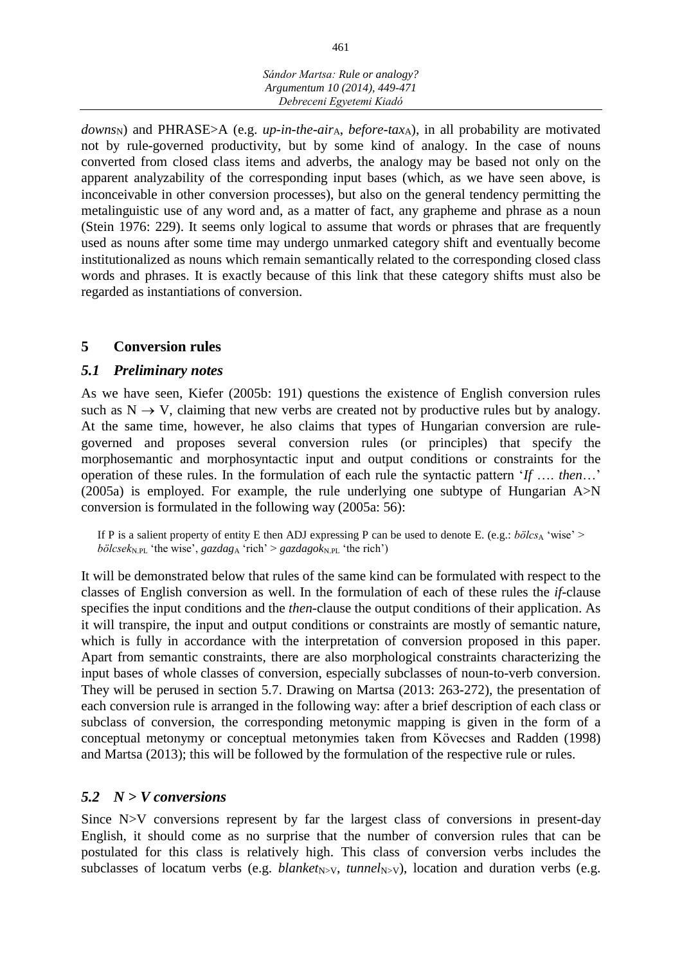*Sándor Martsa: Rule or analogy? Argumentum 10 (2014), 449-471 Debreceni Egyetemi Kiadó*

downs<sub>N</sub>) and PHRASE>A (e.g. *up-in-the-air<sub>A</sub>, before-tax<sub>A</sub>)*, in all probability are motivated not by rule-governed productivity, but by some kind of analogy. In the case of nouns converted from closed class items and adverbs, the analogy may be based not only on the apparent analyzability of the corresponding input bases (which, as we have seen above, is inconceivable in other conversion processes), but also on the general tendency permitting the metalinguistic use of any word and, as a matter of fact, any grapheme and phrase as a noun (Stein 1976: 229). It seems only logical to assume that words or phrases that are frequently used as nouns after some time may undergo unmarked category shift and eventually become institutionalized as nouns which remain semantically related to the corresponding closed class words and phrases. It is exactly because of this link that these category shifts must also be regarded as instantiations of conversion.

## **5 Conversion rules**

#### *5.1 Preliminary notes*

As we have seen, Kiefer (2005b: 191) questions the existence of English conversion rules such as  $N \rightarrow V$ , claiming that new verbs are created not by productive rules but by analogy. At the same time, however, he also claims that types of Hungarian conversion are rulegoverned and proposes several conversion rules (or principles) that specify the morphosemantic and morphosyntactic input and output conditions or constraints for the operation of these rules. In the formulation of each rule the syntactic pattern '*If* …. *then*…' (2005a) is employed. For example, the rule underlying one subtype of Hungarian A>N conversion is formulated in the following way (2005a: 56):

If P is a salient property of entity E then ADJ expressing P can be used to denote E. (e.g.:  $b\ddot{o}lcs_A$  'wise' > *bölcsek*<sub>N.PL</sub> 'the wise',  $\text{gaz} \text{d} \text{a} \text{g}$ <sub>A</sub> 'rich' >  $\text{gaz} \text{d} \text{a} \text{g} \text{o} \text{k}_{N.PL}$  'the rich')

It will be demonstrated below that rules of the same kind can be formulated with respect to the classes of English conversion as well. In the formulation of each of these rules the *if*-clause specifies the input conditions and the *then*-clause the output conditions of their application. As it will transpire, the input and output conditions or constraints are mostly of semantic nature, which is fully in accordance with the interpretation of conversion proposed in this paper. Apart from semantic constraints, there are also morphological constraints characterizing the input bases of whole classes of conversion, especially subclasses of noun-to-verb conversion. They will be perused in section 5.7. Drawing on Martsa (2013: 263-272), the presentation of each conversion rule is arranged in the following way: after a brief description of each class or subclass of conversion, the corresponding metonymic mapping is given in the form of a conceptual metonymy or conceptual metonymies taken from Kövecses and Radden (1998) and Martsa (2013); this will be followed by the formulation of the respective rule or rules.

## *5.2 N > V conversions*

Since N>V conversions represent by far the largest class of conversions in present-day English, it should come as no surprise that the number of conversion rules that can be postulated for this class is relatively high. This class of conversion verbs includes the subclasses of locatum verbs (e.g. *blanket*<sub>N>V</sub>, *tunnel*<sub>N>V</sub>), location and duration verbs (e.g.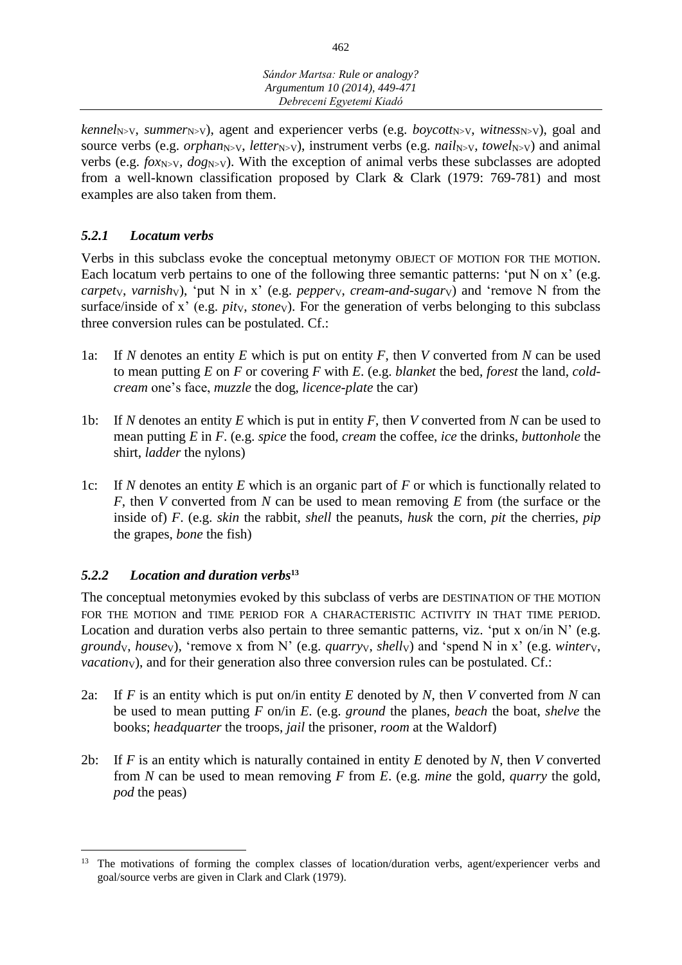| Sándor Martsa: Rule or analogy? |
|---------------------------------|
| Argumentum 10 (2014), 449-471   |
| Debreceni Egyetemi Kiadó        |

*kennel*<sub>N>V</sub>, *summer*<sub>N>V</sub>), agent and experiencer verbs (e.g. *boycott*<sub>N>V</sub>, *witness*<sub>N>V</sub>), goal and source verbs (e.g. *orphan*<sub>N>V</sub>, *letter*<sub>N>V</sub>), instrument verbs (e.g. *nail*<sub>N>V</sub>, *towel*<sub>N>V</sub>) and animal verbs (e.g.  $f(x_{N}>V, \text{ } \text{log}_{N}>V)$ ). With the exception of animal verbs these subclasses are adopted from a well-known classification proposed by Clark & Clark (1979: 769-781) and most examples are also taken from them.

## *5.2.1 Locatum verbs*

Verbs in this subclass evoke the conceptual metonymy OBJECT OF MOTION FOR THE MOTION. Each locatum verb pertains to one of the following three semantic patterns: 'put N on x' (e.g. *carpety, varnishy*), 'put N in x' (e.g. *peppery, cream-and-sugary*) and 'remove N from the surface/inside of x' (e.g. *pity, stoney*). For the generation of verbs belonging to this subclass three conversion rules can be postulated. Cf.:

- 1a: If *N* denotes an entity *E* which is put on entity *F*, then *V* converted from *N* can be used to mean putting *E* on *F* or covering *F* with *E*. (e.g. *blanket* the bed, *forest* the land, *coldcream* one's face, *muzzle* the dog, *licence-plate* the car)
- 1b: If *N* denotes an entity *E* which is put in entity *F*, then *V* converted from *N* can be used to mean putting *E* in *F*. (e.g. *spice* the food, *cream* the coffee, *ice* the drinks, *buttonhole* the shirt, *ladder* the nylons)
- 1c: If *N* denotes an entity *E* which is an organic part of *F* or which is functionally related to *F*, then *V* converted from *N* can be used to mean removing *E* from (the surface or the inside of) *F*. (e.g. *skin* the rabbit, *shell* the peanuts, *husk* the corn, *pit* the cherries, *pip* the grapes, *bone* the fish)

## *5.2.2 Location and duration verbs***<sup>13</sup>**

 $\overline{a}$ 

The conceptual metonymies evoked by this subclass of verbs are DESTINATION OF THE MOTION FOR THE MOTION and TIME PERIOD FOR A CHARACTERISTIC ACTIVITY IN THAT TIME PERIOD. Location and duration verbs also pertain to three semantic patterns, viz. 'put x on/in N' (e.g. *groundy, housey), 'remove x from N' (e.g. <i>quarryy, shelly)* and 'spend N in x' (e.g. *wintery, vacationv*), and for their generation also three conversion rules can be postulated. Cf.:

- 2a: If *F* is an entity which is put on/in entity *E* denoted by *N*, then *V* converted from *N* can be used to mean putting *F* on/in *E*. (e.g. *ground* the planes, *beach* the boat, *shelve* the books; *headquarter* the troops, *jail* the prisoner, *room* at the Waldorf)
- 2b: If *F* is an entity which is naturally contained in entity *E* denoted by *N*, then *V* converted from *N* can be used to mean removing *F* from *E*. (e.g. *mine* the gold, *quarry* the gold, *pod* the peas)

<sup>&</sup>lt;sup>13</sup> The motivations of forming the complex classes of location/duration verbs, agent/experiencer verbs and goal/source verbs are given in Clark and Clark (1979).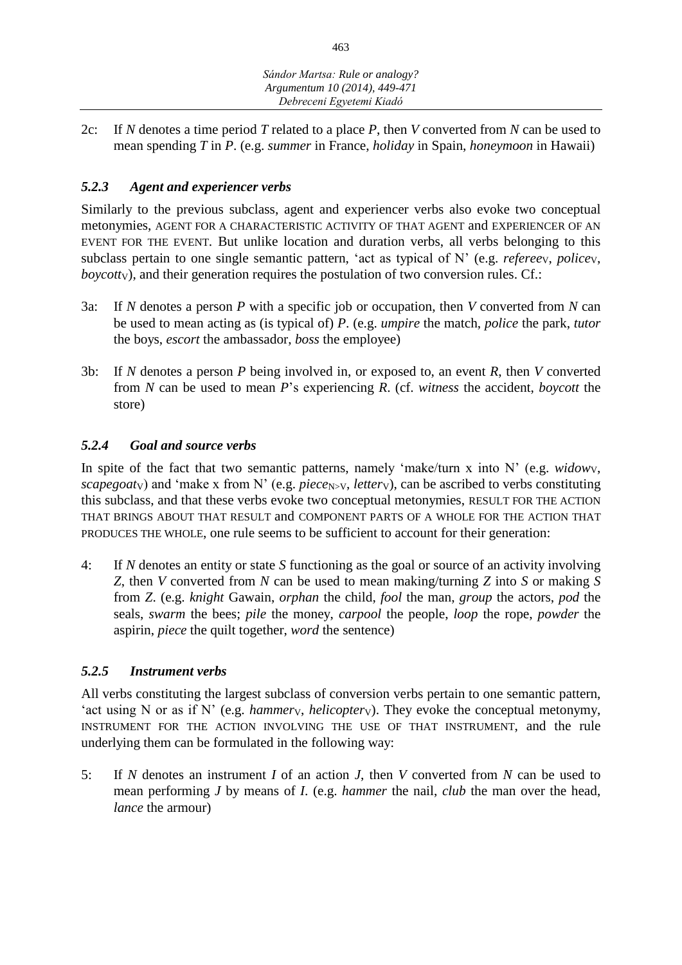

2c: If *N* denotes a time period *T* related to a place *P*, then *V* converted from *N* can be used to mean spending *T* in *P*. (e.g. *summer* in France, *holiday* in Spain, *honeymoon* in Hawaii)

# *5.2.3 Agent and experiencer verbs*

Similarly to the previous subclass, agent and experiencer verbs also evoke two conceptual metonymies, AGENT FOR A CHARACTERISTIC ACTIVITY OF THAT AGENT and EXPERIENCER OF AN EVENT FOR THE EVENT. But unlike location and duration verbs, all verbs belonging to this subclass pertain to one single semantic pattern, 'act as typical of N' (e.g. *refereev*, *policev*, *boycotty*), and their generation requires the postulation of two conversion rules. Cf.:

- 3a: If *N* denotes a person *P* with a specific job or occupation, then *V* converted from *N* can be used to mean acting as (is typical of) *P*. (e.g. *umpire* the match, *police* the park, *tutor* the boys, *escort* the ambassador, *boss* the employee)
- 3b: If *N* denotes a person *P* being involved in, or exposed to, an event *R*, then *V* converted from *N* can be used to mean *P*'s experiencing *R*. (cf. *witness* the accident, *boycott* the store)

#### *5.2.4 Goal and source verbs*

In spite of the fact that two semantic patterns, namely 'make/turn x into N' (e.g. *widowy*, *scapegoat* $\vee$ ) and 'make x from N' (e.g. *piece*<sub>N>V</sub>, *letter* $\vee$ ), can be ascribed to verbs constituting this subclass, and that these verbs evoke two conceptual metonymies, RESULT FOR THE ACTION THAT BRINGS ABOUT THAT RESULT and COMPONENT PARTS OF A WHOLE FOR THE ACTION THAT PRODUCES THE WHOLE, one rule seems to be sufficient to account for their generation:

4: If *N* denotes an entity or state *S* functioning as the goal or source of an activity involving *Z*, then *V* converted from *N* can be used to mean making/turning *Z* into *S* or making *S* from *Z*. (e.g. *knight* Gawain, *orphan* the child, *fool* the man, *group* the actors, *pod* the seals, *swarm* the bees; *pile* the money, *carpool* the people, *loop* the rope, *powder* the aspirin, *piece* the quilt together, *word* the sentence)

#### *5.2.5 Instrument verbs*

All verbs constituting the largest subclass of conversion verbs pertain to one semantic pattern, 'act using N or as if N' (e.g. *hammery*, *helicoptery*). They evoke the conceptual metonymy, INSTRUMENT FOR THE ACTION INVOLVING THE USE OF THAT INSTRUMENT, and the rule underlying them can be formulated in the following way:

5: If *N* denotes an instrument *I* of an action *J*, then *V* converted from *N* can be used to mean performing *J* by means of *I*. (e.g. *hammer* the nail, *club* the man over the head, *lance* the armour)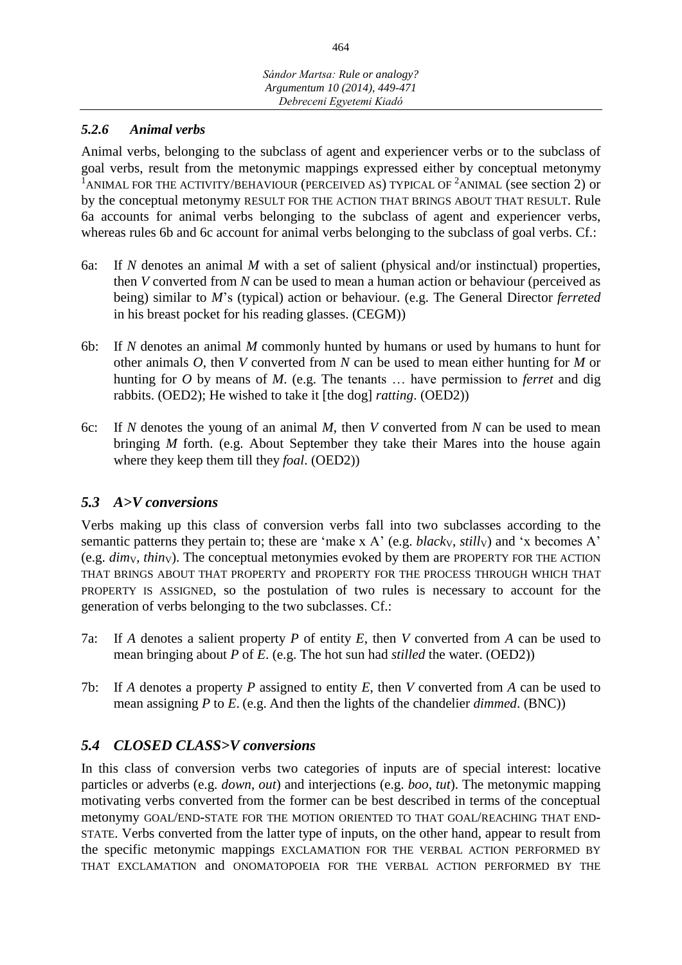#### *5.2.6 Animal verbs*

Animal verbs, belonging to the subclass of agent and experiencer verbs or to the subclass of goal verbs, result from the metonymic mappings expressed either by conceptual metonymy <sup>1</sup>ANIMAL FOR THE ACTIVITY/BEHAVIOUR (PERCEIVED AS) TYPICAL OF <sup>2</sup>ANIMAL (see section 2) or by the conceptual metonymy RESULT FOR THE ACTION THAT BRINGS ABOUT THAT RESULT. Rule 6a accounts for animal verbs belonging to the subclass of agent and experiencer verbs, whereas rules 6b and 6c account for animal verbs belonging to the subclass of goal verbs. Cf.:

- 6a: If *N* denotes an animal *M* with a set of salient (physical and/or instinctual) properties, then *V* converted from *N* can be used to mean a human action or behaviour (perceived as being) similar to *M*'s (typical) action or behaviour. (e.g. The General Director *ferreted* in his breast pocket for his reading glasses. (CEGM))
- 6b: If *N* denotes an animal *M* commonly hunted by humans or used by humans to hunt for other animals *O*, then *V* converted from *N* can be used to mean either hunting for *M* or hunting for *O* by means of *M*. (e.g. The tenants … have permission to *ferret* and dig rabbits. (OED2); He wished to take it [the dog] *ratting*. (OED2))
- 6c: If *N* denotes the young of an animal *M*, then *V* converted from *N* can be used to mean bringing *M* forth. (e.g. About September they take their Mares into the house again where they keep them till they *foal*. (OED2))

## *5.3 A>V conversions*

Verbs making up this class of conversion verbs fall into two subclasses according to the semantic patterns they pertain to; these are 'make x A' (e.g. *blacky*, *stilly*) and 'x becomes A' (e.g. *dim*<sub>V</sub>, *thin*<sub>V</sub>). The conceptual metonymies evoked by them are PROPERTY FOR THE ACTION THAT BRINGS ABOUT THAT PROPERTY and PROPERTY FOR THE PROCESS THROUGH WHICH THAT PROPERTY IS ASSIGNED, so the postulation of two rules is necessary to account for the generation of verbs belonging to the two subclasses. Cf.:

- 7a: If *A* denotes a salient property *P* of entity *E*, then *V* converted from *A* can be used to mean bringing about *P* of *E*. (e.g. The hot sun had *stilled* the water. (OED2))
- 7b: If *A* denotes a property *P* assigned to entity *E*, then *V* converted from *A* can be used to mean assigning *P* to *E*. (e.g. And then the lights of the chandelier *dimmed*. (BNC))

## *5.4 CLOSED CLASS>V conversions*

In this class of conversion verbs two categories of inputs are of special interest: locative particles or adverbs (e.g. *down*, *out*) and interjections (e.g. *boo*, *tut*). The metonymic mapping motivating verbs converted from the former can be best described in terms of the conceptual metonymy GOAL/END-STATE FOR THE MOTION ORIENTED TO THAT GOAL/REACHING THAT END-STATE. Verbs converted from the latter type of inputs, on the other hand, appear to result from the specific metonymic mappings EXCLAMATION FOR THE VERBAL ACTION PERFORMED BY THAT EXCLAMATION and ONOMATOPOEIA FOR THE VERBAL ACTION PERFORMED BY THE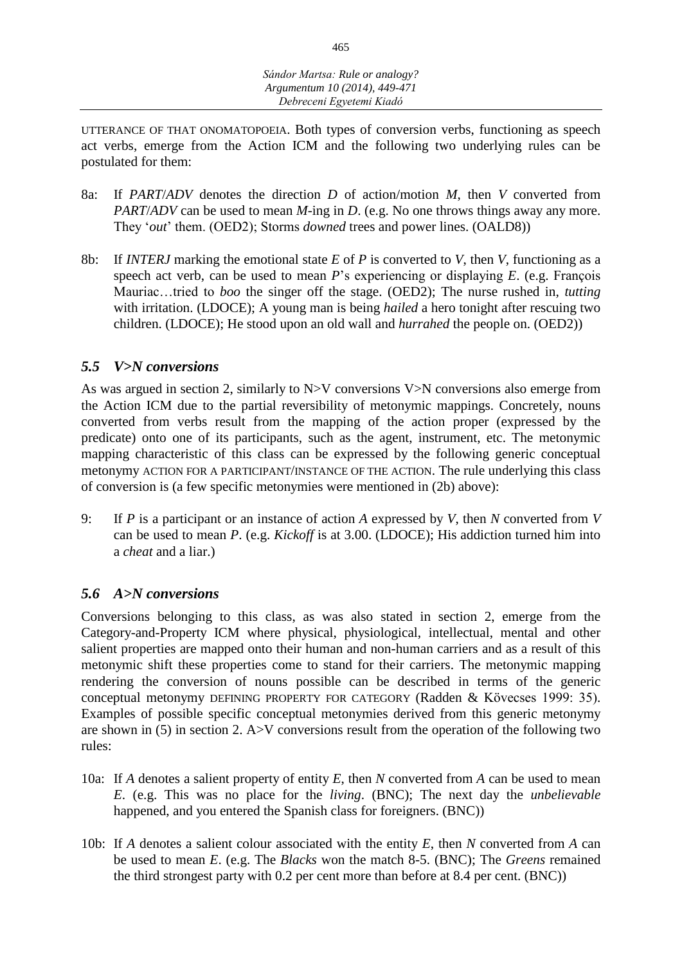UTTERANCE OF THAT ONOMATOPOEIA. Both types of conversion verbs, functioning as speech act verbs, emerge from the Action ICM and the following two underlying rules can be postulated for them:

- 8a: If *PART*/*ADV* denotes the direction *D* of action/motion *M*, then *V* converted from *PART*/*ADV* can be used to mean *M*-ing in *D*. (e.g. No one throws things away any more. They '*out*' them. (OED2); Storms *downed* trees and power lines. (OALD8))
- 8b: If *INTERJ* marking the emotional state *E* of *P* is converted to *V*, then *V*, functioning as a speech act verb, can be used to mean *P*'s experiencing or displaying *E*. (e.g. François Mauriac…tried to *boo* the singer off the stage. (OED2); The nurse rushed in, *tutting* with irritation. (LDOCE); A young man is being *hailed* a hero tonight after rescuing two children. (LDOCE); He stood upon an old wall and *hurrahed* the people on. (OED2))

## *5.5 V>N conversions*

As was argued in section 2, similarly to N>V conversions V>N conversions also emerge from the Action ICM due to the partial reversibility of metonymic mappings. Concretely, nouns converted from verbs result from the mapping of the action proper (expressed by the predicate) onto one of its participants, such as the agent, instrument, etc. The metonymic mapping characteristic of this class can be expressed by the following generic conceptual metonymy ACTION FOR A PARTICIPANT/INSTANCE OF THE ACTION. The rule underlying this class of conversion is (a few specific metonymies were mentioned in (2b) above):

9: If *P* is a participant or an instance of action *A* expressed by *V*, then *N* converted from *V* can be used to mean *P*. (e.g. *Kickoff* is at 3.00. (LDOCE); His addiction turned him into a *cheat* and a liar.)

# *5.6 A>N conversions*

Conversions belonging to this class, as was also stated in section 2, emerge from the Category-and-Property ICM where physical, physiological, intellectual, mental and other salient properties are mapped onto their human and non-human carriers and as a result of this metonymic shift these properties come to stand for their carriers. The metonymic mapping rendering the conversion of nouns possible can be described in terms of the generic conceptual metonymy DEFINING PROPERTY FOR CATEGORY (Radden & Kövecses 1999: 35). Examples of possible specific conceptual metonymies derived from this generic metonymy are shown in (5) in section 2. A>V conversions result from the operation of the following two rules:

- 10a: If *A* denotes a salient property of entity *E*, then *N* converted from *A* can be used to mean *E*. (e.g. This was no place for the *living*. (BNC); The next day the *unbelievable* happened, and you entered the Spanish class for foreigners. (BNC))
- 10b: If *A* denotes a salient colour associated with the entity *E*, then *N* converted from *A* can be used to mean *E*. (e.g. The *Blacks* won the match 8-5. (BNC); The *Greens* remained the third strongest party with 0.2 per cent more than before at 8.4 per cent. (BNC))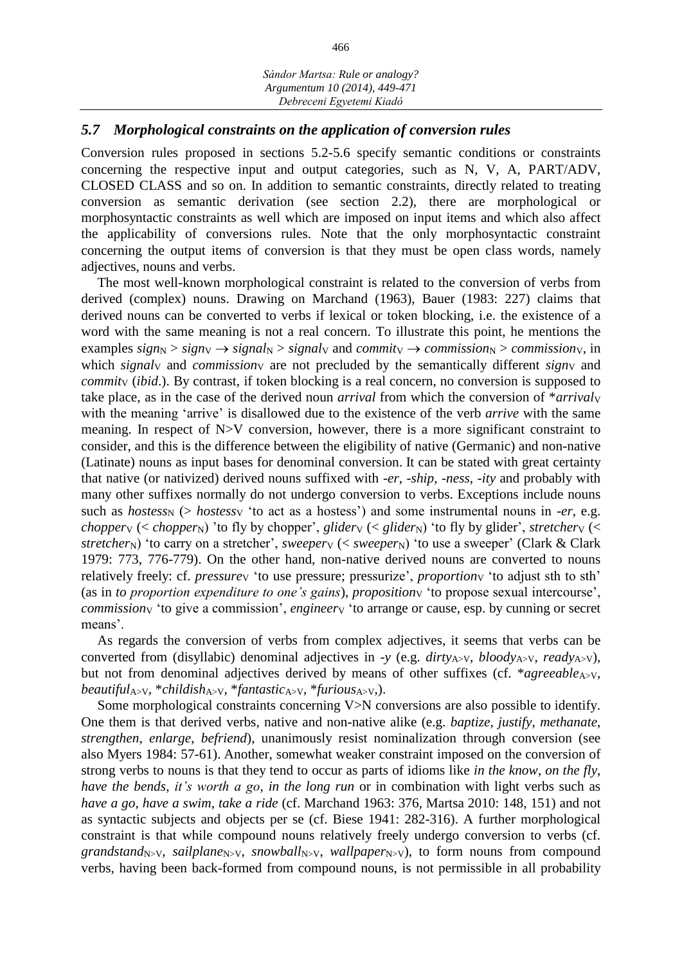## *5.7 Morphological constraints on the application of conversion rules*

Conversion rules proposed in sections 5.2-5.6 specify semantic conditions or constraints concerning the respective input and output categories, such as N, V, A, PART/ADV, CLOSED CLASS and so on. In addition to semantic constraints, directly related to treating conversion as semantic derivation (see section 2.2), there are morphological or morphosyntactic constraints as well which are imposed on input items and which also affect the applicability of conversions rules. Note that the only morphosyntactic constraint concerning the output items of conversion is that they must be open class words, namely adjectives, nouns and verbs.

The most well-known morphological constraint is related to the conversion of verbs from derived (complex) nouns. Drawing on Marchand (1963), Bauer (1983: 227) claims that derived nouns can be converted to verbs if lexical or token blocking, i.e. the existence of a word with the same meaning is not a real concern. To illustrate this point, he mentions the examples  $sign_N > sign_V \rightarrow signal_N > signal_V$  and *commity*  $\rightarrow$  *commissions*  $>$  *commissions*, in which *signal*y and *commission*y are not precluded by the semantically different *signy* and *commity (ibid.).* By contrast, if token blocking is a real concern, no conversion is supposed to take place, as in the case of the derived noun *arrival* from which the conversion of \**arrivaly* with the meaning 'arrive' is disallowed due to the existence of the verb *arrive* with the same meaning. In respect of N>V conversion, however, there is a more significant constraint to consider, and this is the difference between the eligibility of native (Germanic) and non-native (Latinate) nouns as input bases for denominal conversion. It can be stated with great certainty that native (or nativized) derived nouns suffixed with -*er*, -*ship*, -*ness*, -*ity* and probably with many other suffixes normally do not undergo conversion to verbs. Exceptions include nouns such as *hostess<sub>N</sub>* ( $>$  *hostessy* 'to act as a hostess') and some instrumental nouns in -*er*, e.g. *chopper*<sub>V</sub> (< *chopper*<sub>N</sub>) 'to fly by chopper', *glider*<sub>V</sub> (< *glider*<sub>N</sub>) 'to fly by glider', *stretcher*<sub>V</sub> (< *stretcher<sub>N</sub>*) 'to carry on a stretcher', *sweeper*<sub>V</sub> (< *sweeper<sub>N</sub>*) 'to use a sweeper' (Clark & Clark 1979: 773, 776-779). On the other hand, non-native derived nouns are converted to nouns relatively freely: cf. *pressure* 'to use pressure; pressurize', *proportion* 'to adjust sth to sth' (as in *to proportion expenditure to one's gains*), *proposition*<sup>t</sup> to propose sexual intercourse', *commission*<sup>v</sup> to give a commission', *engineer*<sup>v</sup> to arrange or cause, esp. by cunning or secret means'.

As regards the conversion of verbs from complex adjectives, it seems that verbs can be converted from (disyllabic) denominal adjectives in -*y* (e.g. *dirty*A>V, *bloody*A>V, *ready*A>V), but not from denominal adjectives derived by means of other suffixes (cf. \**agreeable*<sub>A>V</sub>, *beautiful*A>V, \**childish*A>V, \**fantastic*A>V, \**furious*A>V,).

Some morphological constraints concerning V>N conversions are also possible to identify. One them is that derived verbs, native and non-native alike (e.g. *baptize*, *justify*, *methanate*, *strengthen*, *enlarge*, *befriend*), unanimously resist nominalization through conversion (see also Myers 1984: 57-61). Another, somewhat weaker constraint imposed on the conversion of strong verbs to nouns is that they tend to occur as parts of idioms like *in the know*, *on the fly*, *have the bends*, *it's worth a go*, *in the long run* or in combination with light verbs such as *have a go*, *have a swim*, *take a ride* (cf. Marchand 1963: 376, Martsa 2010: 148, 151) and not as syntactic subjects and objects per se (cf. Biese 1941: 282-316). A further morphological constraint is that while compound nouns relatively freely undergo conversion to verbs (cf. *grandstand*<sub>N>V</sub>, *sailplane*<sub>N>V</sub>, *snowball*<sub>N>V</sub>, *wallpaper*<sub>N>V</sub>), to form nouns from compound verbs, having been back-formed from compound nouns, is not permissible in all probability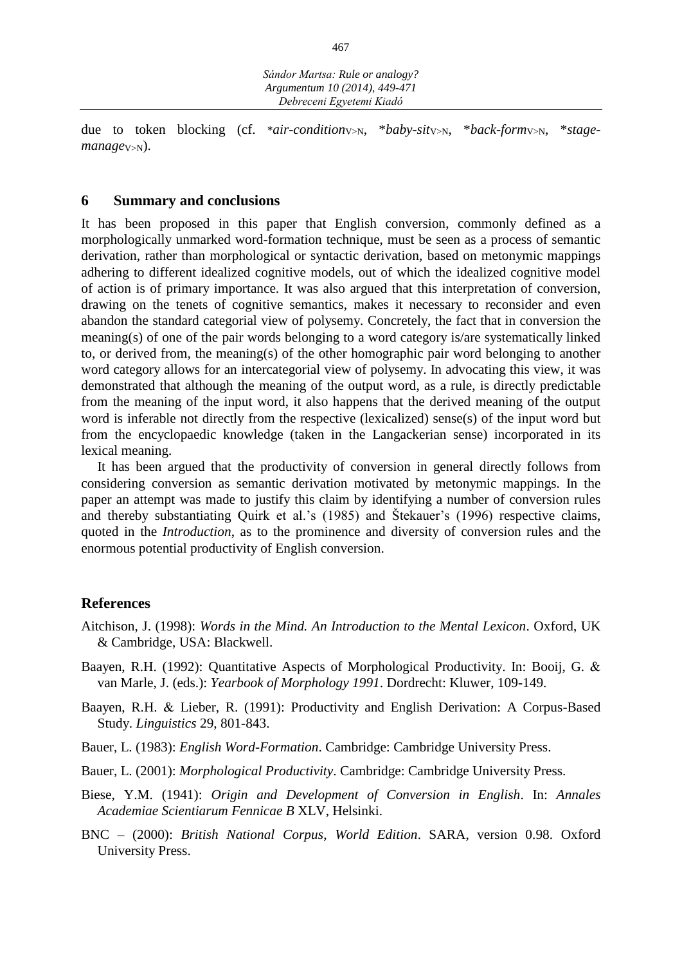due to token blocking (cf. \**air-conditionv*<sub>>N</sub>, \**baby-sitv*<sub>>N</sub>, \**back-formv*<sub>>N</sub>, \**stage*manage<sub>V>N</sub>).

#### **6 Summary and conclusions**

It has been proposed in this paper that English conversion, commonly defined as a morphologically unmarked word-formation technique, must be seen as a process of semantic derivation, rather than morphological or syntactic derivation, based on metonymic mappings adhering to different idealized cognitive models, out of which the idealized cognitive model of action is of primary importance. It was also argued that this interpretation of conversion, drawing on the tenets of cognitive semantics, makes it necessary to reconsider and even abandon the standard categorial view of polysemy. Concretely, the fact that in conversion the meaning(s) of one of the pair words belonging to a word category is/are systematically linked to, or derived from, the meaning(s) of the other homographic pair word belonging to another word category allows for an intercategorial view of polysemy. In advocating this view, it was demonstrated that although the meaning of the output word, as a rule, is directly predictable from the meaning of the input word, it also happens that the derived meaning of the output word is inferable not directly from the respective (lexicalized) sense(s) of the input word but from the encyclopaedic knowledge (taken in the Langackerian sense) incorporated in its lexical meaning.

It has been argued that the productivity of conversion in general directly follows from considering conversion as semantic derivation motivated by metonymic mappings. In the paper an attempt was made to justify this claim by identifying a number of conversion rules and thereby substantiating Quirk et al.'s (1985) and Štekauer's (1996) respective claims, quoted in the *Introduction*, as to the prominence and diversity of conversion rules and the enormous potential productivity of English conversion.

#### **References**

- Aitchison, J. (1998): *Words in the Mind. An Introduction to the Mental Lexicon*. Oxford, UK & Cambridge, USA: Blackwell.
- Baayen, R.H. (1992): Quantitative Aspects of Morphological Productivity. In: Booij, G. & van Marle, J. (eds.): *Yearbook of Morphology 1991*. Dordrecht: Kluwer, 109-149.
- Baayen, R.H. & Lieber, R. (1991): Productivity and English Derivation: A Corpus-Based Study. *Linguistics* 29, 801-843.
- Bauer, L. (1983): *English Word-Formation*. Cambridge: Cambridge University Press.
- Bauer, L. (2001): *Morphological Productivity*. Cambridge: Cambridge University Press.
- Biese, Y.M. (1941): *Origin and Development of Conversion in English*. In: *Annales Academiae Scientiarum Fennicae B* XLV, Helsinki.
- BNC (2000): *British National Corpus*, *World Edition*. SARA, version 0.98. Oxford University Press.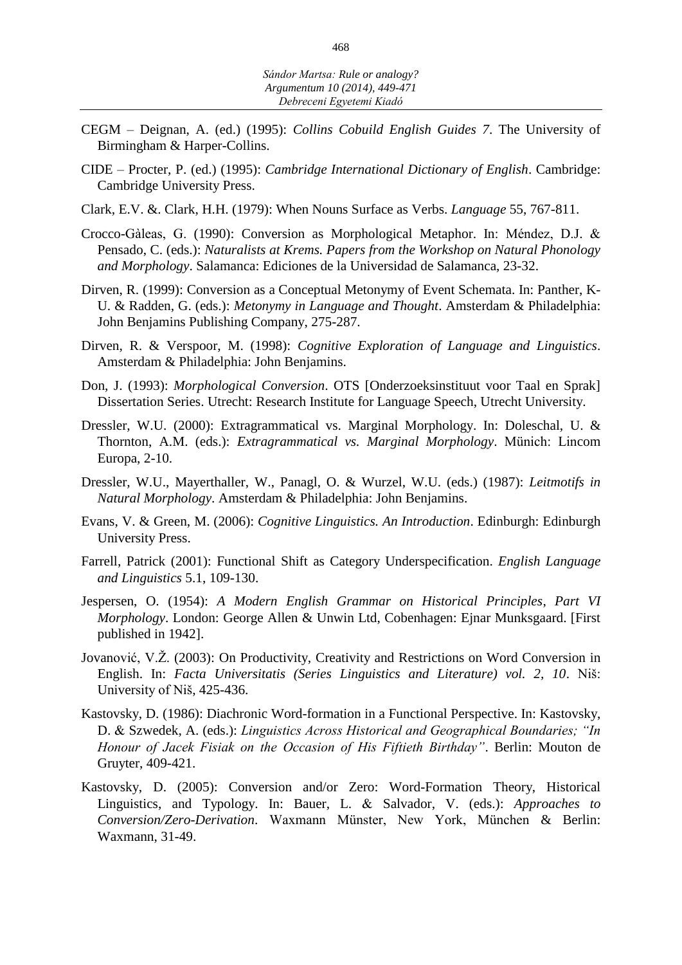- CEGM Deignan, A. (ed.) (1995): *Collins Cobuild English Guides 7*. The University of Birmingham & Harper-Collins.
- CIDE Procter, P. (ed.) (1995): *Cambridge International Dictionary of English*. Cambridge: Cambridge University Press.
- Clark, E.V. &. Clark, H.H. (1979): When Nouns Surface as Verbs. *Language* 55, 767-811.
- Crocco-Gàleas, G. (1990): Conversion as Morphological Metaphor. In: Méndez, D.J. Pensado, C. (eds.): *Naturalists at Krems. Papers from the Workshop on Natural Phonology and Morphology*. Salamanca: Ediciones de la Universidad de Salamanca, 23-32.
- Dirven, R. (1999): Conversion as a Conceptual Metonymy of Event Schemata. In: Panther, K-U. & Radden, G. (eds.): *Metonymy in Language and Thought*. Amsterdam & Philadelphia: John Benjamins Publishing Company, 275-287.
- Dirven, R. & Verspoor, M. (1998): *Cognitive Exploration of Language and Linguistics*. Amsterdam & Philadelphia: John Benjamins.
- Don, J. (1993): *Morphological Conversion*. OTS [Onderzoeksinstituut voor Taal en Sprak] Dissertation Series. Utrecht: Research Institute for Language Speech, Utrecht University.
- Dressler, W.U. (2000): Extragrammatical vs. Marginal Morphology. In: Doleschal, U. & Thornton, A.M. (eds.): *Extragrammatical vs. Marginal Morphology*. Münich: Lincom Europa, 2-10.
- Dressler, W.U., Mayerthaller, W., Panagl, O. & Wurzel, W.U. (eds.) (1987): *Leitmotifs in Natural Morphology*. Amsterdam & Philadelphia: John Benjamins.
- Evans, V. & Green, M. (2006): *Cognitive Linguistics. An Introduction*. Edinburgh: Edinburgh University Press.
- Farrell, Patrick (2001): Functional Shift as Category Underspecification. *English Language and Linguistics* 5.1, 109-130.
- Jespersen, O. (1954): *A Modern English Grammar on Historical Principles*, *Part VI Morphology*. London: George Allen & Unwin Ltd, Cobenhagen: Ejnar Munksgaard. [First published in 1942].
- Jovanović, V.Ž. (2003): On Productivity, Creativity and Restrictions on Word Conversion in English. In: *Facta Universitatis (Series Linguistics and Literature) vol. 2, 10*. Niš: University of Niš, 425-436.
- Kastovsky, D. (1986): Diachronic Word-formation in a Functional Perspective. In: Kastovsky, D. & Szwedek, A. (eds.): *Linguistics Across Historical and Geographical Boundaries; "In Honour of Jacek Fisiak on the Occasion of His Fiftieth Birthday"*. Berlin: Mouton de Gruyter, 409-421.
- Kastovsky, D. (2005): Conversion and/or Zero: Word-Formation Theory, Historical Linguistics, and Typology. In: Bauer, L. & Salvador, V. (eds.): *Approaches to Conversion/Zero-Derivation*. Waxmann Münster, New York, München & Berlin: Waxmann, 31-49.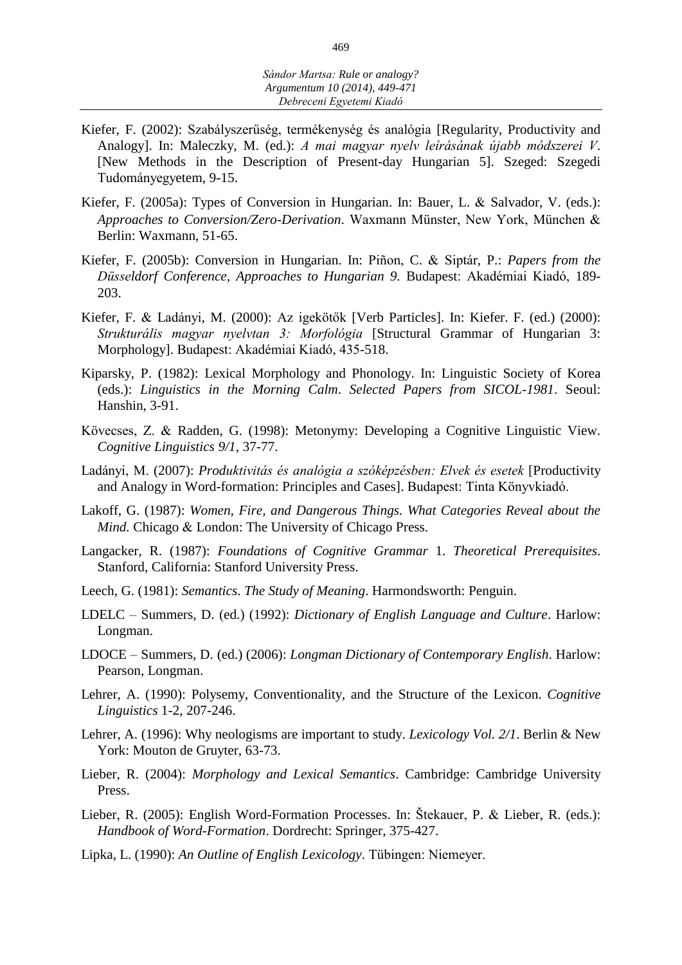- Kiefer, F. (2002): Szabályszerűség, termékenység és analógia [Regularity, Productivity and Analogy]. In: Maleczky, M. (ed.): *A mai magyar nyelv leírásának újabb módszerei V*. [New Methods in the Description of Present-day Hungarian 5]. Szeged: Szegedi Tudományegyetem, 9-15.
- Kiefer, F. (2005a): Types of Conversion in Hungarian. In: Bauer, L. & Salvador, V. (eds.): *Approaches to Conversion/Zero-Derivation*. Waxmann Münster, New York, München Berlin: Waxmann, 51-65.
- Kiefer, F. (2005b): Conversion in Hungarian. In: Piñon, C. & Siptár, P.: *Papers from the Düsseldorf Conference, Approaches to Hungarian 9.* Budapest: Akadémiai Kiadó, 189- 203.
- Kiefer, F. & Ladányi, M. (2000): Az igekötők [Verb Particles]. In: Kiefer. F. (ed.) (2000): *Strukturális magyar nyelvtan 3: Morfológia* [Structural Grammar of Hungarian 3: Morphology]. Budapest: Akadémiai Kiadó, 435-518.
- Kiparsky, P. (1982): Lexical Morphology and Phonology. In: Linguistic Society of Korea (eds.): *Linguistics in the Morning Calm*. *Selected Papers from SICOL-1981*. Seoul: Hanshin, 3-91.
- Kövecses, Z. & Radden, G. (1998): Metonymy: Developing a Cognitive Linguistic View. *Cognitive Linguistics 9/1*, 37-77.
- Ladányi, M. (2007): *Produktivitás és analógia a szóképzésben: Elvek és esetek* [Productivity and Analogy in Word-formation: Principles and Cases]. Budapest: Tinta Könyvkiadó.
- Lakoff, G. (1987): *Women, Fire, and Dangerous Things. What Categories Reveal about the Mind.* Chicago & London: The University of Chicago Press.
- Langacker, R. (1987): *Foundations of Cognitive Grammar* 1. *Theoretical Prerequisites*. Stanford, California: Stanford University Press.
- Leech, G. (1981): *Semantics*. *The Study of Meaning*. Harmondsworth: Penguin.
- LDELC Summers, D. (ed.) (1992): *Dictionary of English Language and Culture*. Harlow: Longman.
- LDOCE Summers, D. (ed.) (2006): *Longman Dictionary of Contemporary English*. Harlow: Pearson, Longman.
- Lehrer, A. (1990): Polysemy, Conventionality, and the Structure of the Lexicon. *Cognitive Linguistics* 1-2, 207-246.
- Lehrer, A. (1996): Why neologisms are important to study. *Lexicology Vol. 2/1*. Berlin & New York: Mouton de Gruyter, 63-73.
- Lieber, R. (2004): *Morphology and Lexical Semantics*. Cambridge: Cambridge University Press.
- Lieber, R. (2005): English Word-Formation Processes. In: Štekauer, P. & Lieber, R. (eds.): *Handbook of Word-Formation*. Dordrecht: Springer, 375-427.
- Lipka, L. (1990): *An Outline of English Lexicology*. Tübingen: Niemeyer.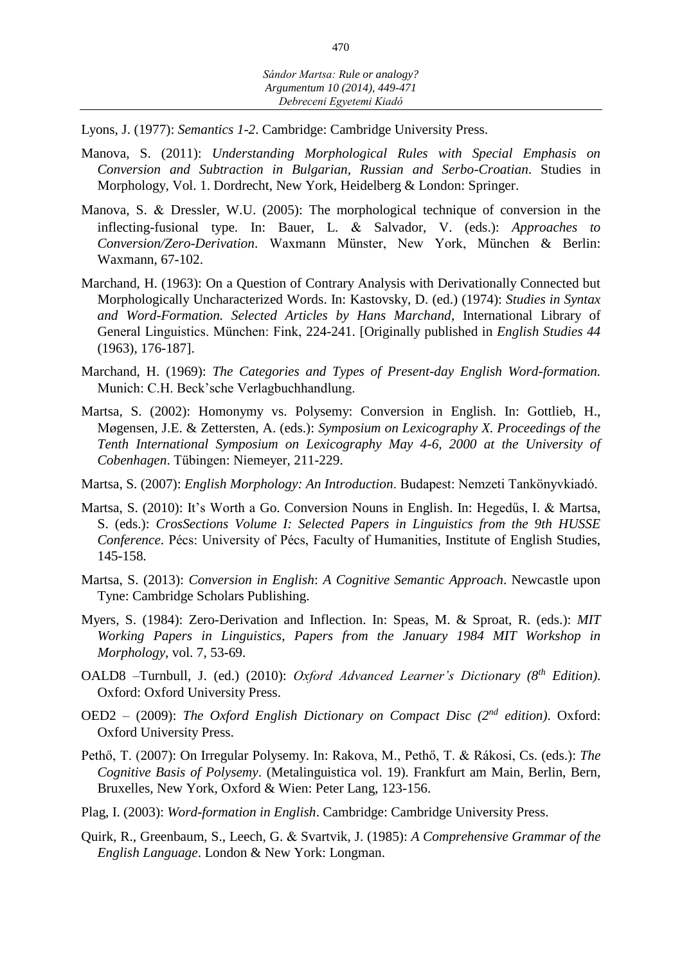Lyons, J. (1977): *Semantics 1-2*. Cambridge: Cambridge University Press.

- Manova, S. (2011): *Understanding Morphological Rules with Special Emphasis on Conversion and Subtraction in Bulgarian, Russian and Serbo-Croatian*. Studies in Morphology, Vol. 1. Dordrecht, New York, Heidelberg & London: Springer.
- Manova, S. & Dressler, W.U. (2005): The morphological technique of conversion in the inflecting-fusional type. In: Bauer, L. & Salvador, V. (eds.): *Approaches to Conversion/Zero-Derivation*. Waxmann Münster, New York, München & Berlin: Waxmann, 67-102.
- Marchand, H. (1963): On a Question of Contrary Analysis with Derivationally Connected but Morphologically Uncharacterized Words. In: Kastovsky, D. (ed.) (1974): *Studies in Syntax and Word-Formation. Selected Articles by Hans Marchand*, International Library of General Linguistics. München: Fink, 224-241. [Originally published in *English Studies 44*  (1963), 176-187].
- Marchand, H. (1969): *The Categories and Types of Present-day English Word-formation.* Munich: C.H. Beck'sche Verlagbuchhandlung.
- Martsa, S. (2002): Homonymy vs. Polysemy: Conversion in English. In: Gottlieb, H., Møgensen, J.E. & Zettersten, A. (eds.): *Symposium on Lexicography X. Proceedings of the Tenth International Symposium on Lexicography May 4-6, 2000 at the University of Cobenhagen*. Tübingen: Niemeyer, 211-229.
- Martsa, S. (2007): *English Morphology: An Introduction*. Budapest: Nemzeti Tankönyvkiadó.
- Martsa, S. (2010): It's Worth a Go. Conversion Nouns in English. In: Hegedűs, I. & Martsa, S. (eds.): *CrosSections Volume I: Selected Papers in Linguistics from the 9th HUSSE Conference*. Pécs: University of Pécs, Faculty of Humanities, Institute of English Studies, 145-158*.*
- Martsa, S. (2013): *Conversion in English*: *A Cognitive Semantic Approach*. Newcastle upon Tyne: Cambridge Scholars Publishing.
- Myers, S. (1984): Zero-Derivation and Inflection. In: Speas, M. & Sproat, R. (eds.): *MIT Working Papers in Linguistics*, *Papers from the January 1984 MIT Workshop in Morphology*, vol. 7, 53-69.
- OALD8 –Turnbull, J. (ed.) (2010): *Oxford Advanced Learner's Dictionary (8th Edition)*. Oxford: Oxford University Press.
- OED2 (2009): *The Oxford English Dictionary on Compact Disc (2nd edition)*. Oxford: Oxford University Press.
- Pethő, T. (2007): On Irregular Polysemy. In: Rakova, M., Pethő, T. & Rákosi, Cs. (eds.): *The Cognitive Basis of Polysemy*. (Metalinguistica vol. 19). Frankfurt am Main, Berlin, Bern, Bruxelles, New York, Oxford & Wien: Peter Lang, 123-156.
- Plag, I. (2003): *Word-formation in English*. Cambridge: Cambridge University Press.
- Quirk, R., Greenbaum, S., Leech, G. & Svartvik, J. (1985): *A Comprehensive Grammar of the English Language*. London & New York: Longman.